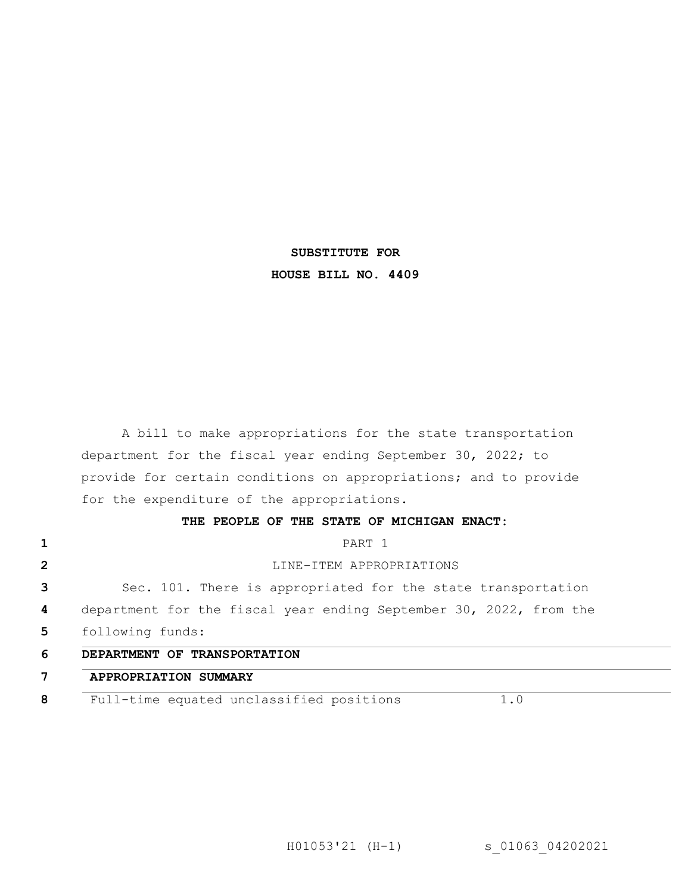# **SUBSTITUTE FOR HOUSE BILL NO. 4409**

A bill to make appropriations for the state transportation department for the fiscal year ending September 30, 2022; to provide for certain conditions on appropriations; and to provide for the expenditure of the appropriations.

### **THE PEOPLE OF THE STATE OF MICHIGAN ENACT:**

| PART 1                                                             |
|--------------------------------------------------------------------|
| LINE-ITEM APPROPRIATIONS                                           |
| Sec. 101. There is appropriated for the state transportation       |
| department for the fiscal year ending September 30, 2022, from the |
| following funds:                                                   |
| DEPARTMENT OF TRANSPORTATION                                       |
| APPROPRIATION SUMMARY                                              |
| Full-time equated unclassified positions<br>1.0                    |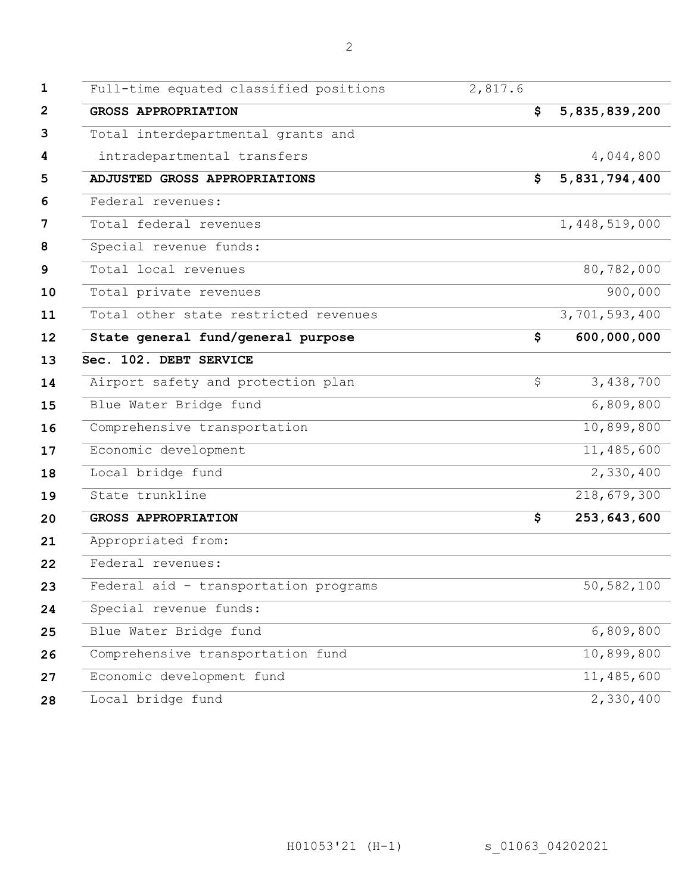| $\mathbf 1$  | Full-time equated classified positions | 2,817.6 |               |
|--------------|----------------------------------------|---------|---------------|
| $\mathbf{2}$ | <b>GROSS APPROPRIATION</b>             | \$      | 5,835,839,200 |
| 3            | Total interdepartmental grants and     |         |               |
| 4            | intradepartmental transfers            |         | 4,044,800     |
| 5            | ADJUSTED GROSS APPROPRIATIONS          | \$      | 5,831,794,400 |
| 6            | Federal revenues:                      |         |               |
| 7            | Total federal revenues                 |         | 1,448,519,000 |
| 8            | Special revenue funds:                 |         |               |
| 9            | Total local revenues                   |         | 80,782,000    |
| 10           | Total private revenues                 |         | 900,000       |
| 11           | Total other state restricted revenues  |         | 3,701,593,400 |
| 12           | State general fund/general purpose     | \$      | 600,000,000   |
| 13           | Sec. 102. DEBT SERVICE                 |         |               |
| 14           | Airport safety and protection plan     | \$      | 3,438,700     |
| 15           | Blue Water Bridge fund                 |         | 6,809,800     |
| 16           | Comprehensive transportation           |         | 10,899,800    |
| 17           | Economic development                   |         | 11,485,600    |
| 18           | Local bridge fund                      |         | 2,330,400     |
| 19           | State trunkline                        |         | 218,679,300   |
| 20           | <b>GROSS APPROPRIATION</b>             | \$      | 253, 643, 600 |
| 21           | Appropriated from:                     |         |               |
| 22           | Federal revenues:                      |         |               |
| 23           | Federal aid - transportation programs  |         | 50,582,100    |
| 24           | Special revenue funds:                 |         |               |
| 25           | Blue Water Bridge fund                 |         | 6,809,800     |
| 26           | Comprehensive transportation fund      |         | 10,899,800    |
| 27           | Economic development fund              |         | 11,485,600    |
| 28           | Local bridge fund                      |         | 2,330,400     |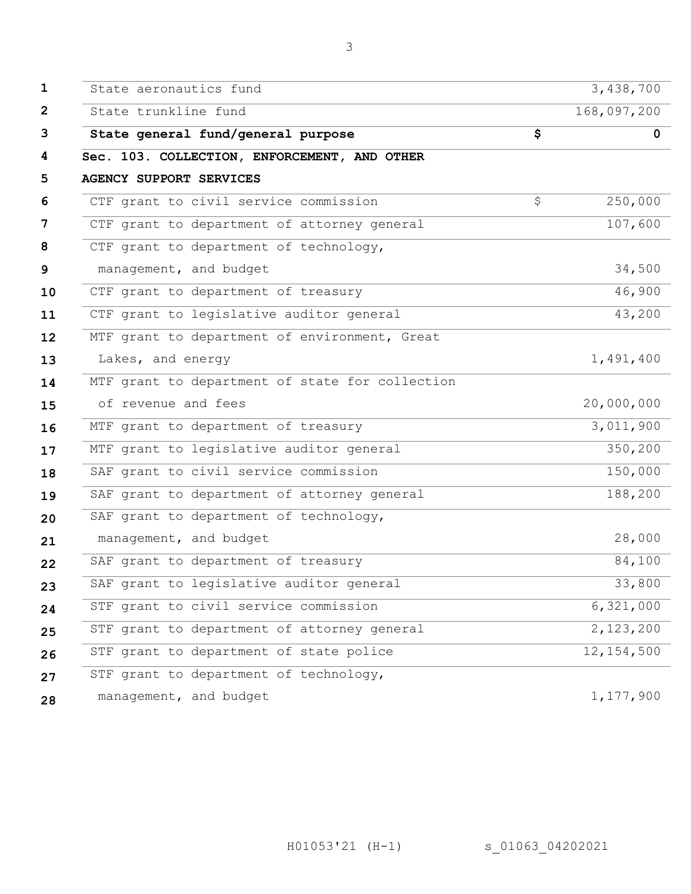| $\mathbf{1}$    | State aeronautics fund                          | 3,438,700      |
|-----------------|-------------------------------------------------|----------------|
| $\overline{2}$  | State trunkline fund                            | 168,097,200    |
| 3               | State general fund/general purpose              | \$<br>$\Omega$ |
| 4               | Sec. 103. COLLECTION, ENFORCEMENT, AND OTHER    |                |
| 5               | <b>AGENCY SUPPORT SERVICES</b>                  |                |
| 6               | CTF grant to civil service commission           | \$<br>250,000  |
| 7               | CTF grant to department of attorney general     | 107,600        |
| 8               | CTF grant to department of technology,          |                |
| 9               | management, and budget                          | 34,500         |
| 10              | CTF grant to department of treasury             | 46,900         |
| 11              | CTF grant to legislative auditor general        | 43,200         |
| 12 <sub>2</sub> | MTF grant to department of environment, Great   |                |
| 13              | Lakes, and energy                               | 1,491,400      |
| 14              | MTF grant to department of state for collection |                |
| 15              | of revenue and fees                             | 20,000,000     |
| 16              | MTF grant to department of treasury             | 3,011,900      |
| 17              | MTF grant to legislative auditor general        | 350,200        |
| 18              | SAF grant to civil service commission           | 150,000        |
| 19              | SAF grant to department of attorney general     | 188,200        |
| 20              | SAF grant to department of technology,          |                |
| 21              | management, and budget                          | 28,000         |
| 22              | SAF grant to department of treasury             | 84,100         |
| 23              | SAF grant to legislative auditor general        | 33,800         |
| 24              | STF grant to civil service commission           | 6,321,000      |
| 25              | STF grant to department of attorney general     | 2,123,200      |
| 26              | STF grant to department of state police         | 12, 154, 500   |
| 27              | STF grant to department of technology,          |                |
| 28              | management, and budget                          | 1,177,900      |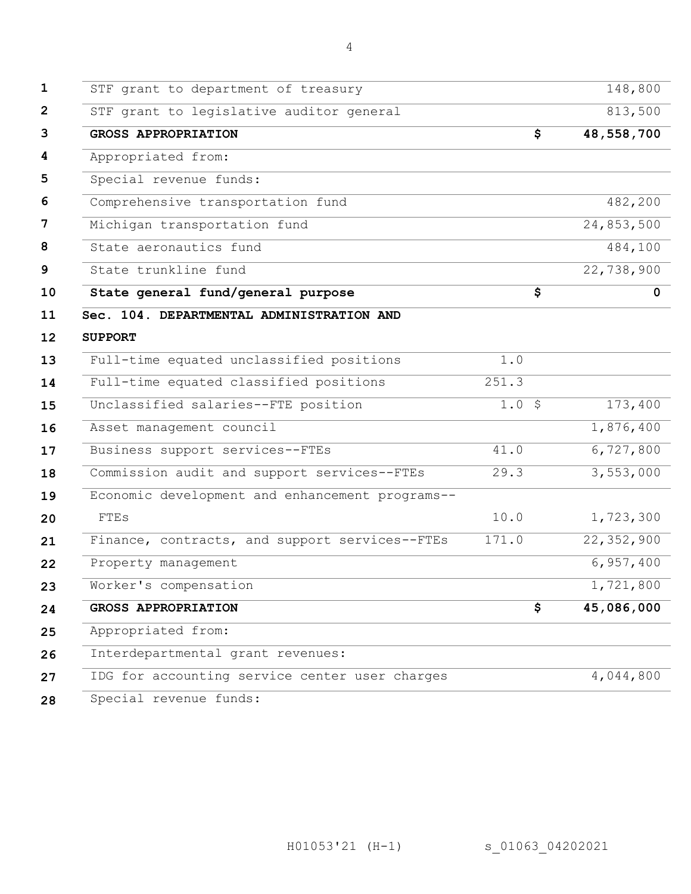STF grant to department of treasury 148,800

| STF grant to legislative auditor general        |             | 813,500     |
|-------------------------------------------------|-------------|-------------|
| <b>GROSS APPROPRIATION</b>                      | \$          | 48,558,700  |
| Appropriated from:                              |             |             |
| Special revenue funds:                          |             |             |
| Comprehensive transportation fund               |             | 482,200     |
| Michigan transportation fund                    |             | 24,853,500  |
| State aeronautics fund                          |             | 484,100     |
| State trunkline fund                            |             | 22,738,900  |
| State general fund/general purpose              | \$          | $\mathbf 0$ |
| Sec. 104. DEPARTMENTAL ADMINISTRATION AND       |             |             |
| <b>SUPPORT</b>                                  |             |             |
| Full-time equated unclassified positions        | $1.0$       |             |
| Full-time equated classified positions          | 251.3       |             |
| Unclassified salaries--FTE position             | $1.0 \;$ \$ | 173,400     |
| Asset management council                        |             | 1,876,400   |
| Business support services--FTEs                 | 41.0        | 6,727,800   |
| Commission audit and support services--FTEs     | 29.3        | 3,553,000   |
| Economic development and enhancement programs-- |             |             |
| <b>FTES</b>                                     | 10.0        | 1,723,300   |
| Finance, contracts, and support services--FTEs  | 171.0       | 22,352,900  |
| Property management                             |             | 6,957,400   |
| Worker's compensation                           |             | 1,721,800   |
| <b>GROSS APPROPRIATION</b>                      | \$          | 45,086,000  |
| Appropriated from:                              |             |             |
| Interdepartmental grant revenues:               |             |             |
| IDG for accounting service center user charges  |             |             |
|                                                 |             | 4,044,800   |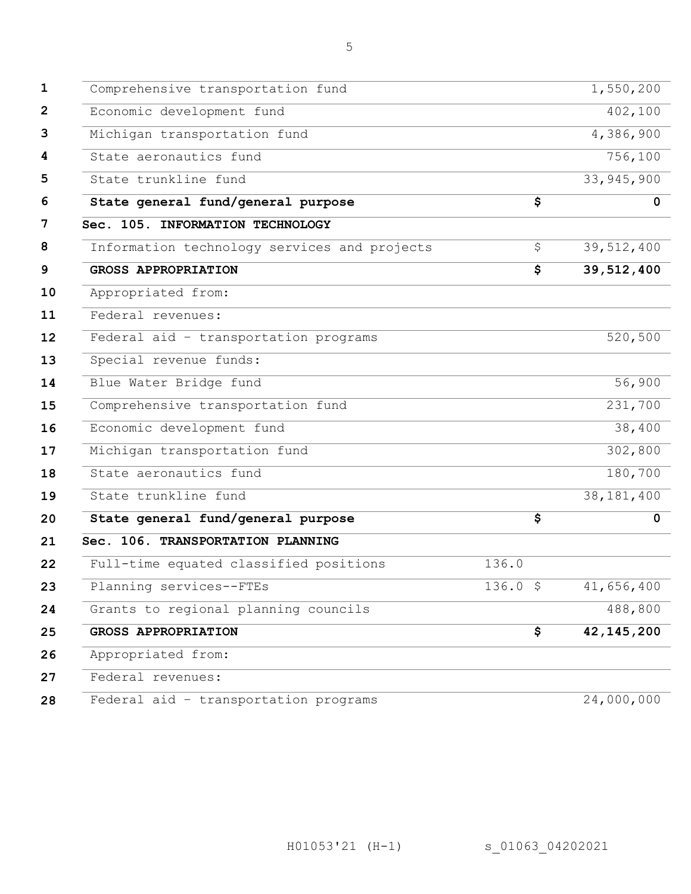| Comprehensive transportation fund            |               |                                      | 1,550,200    |
|----------------------------------------------|---------------|--------------------------------------|--------------|
| Economic development fund                    |               |                                      | 402,100      |
| Michigan transportation fund                 |               |                                      | 4,386,900    |
| State aeronautics fund                       |               |                                      | 756,100      |
| State trunkline fund                         |               |                                      | 33, 945, 900 |
| State general fund/general purpose           |               | $\overline{\boldsymbol{\mathsf{s}}}$ | $\mathbf 0$  |
| Sec. 105. INFORMATION TECHNOLOGY             |               |                                      |              |
| Information technology services and projects |               | \$                                   | 39,512,400   |
| <b>GROSS APPROPRIATION</b>                   |               | \$                                   | 39,512,400   |
| Appropriated from:                           |               |                                      |              |
| Federal revenues:                            |               |                                      |              |
| Federal aid - transportation programs        |               |                                      | 520,500      |
| Special revenue funds:                       |               |                                      |              |
| Blue Water Bridge fund                       |               |                                      | 56,900       |
| Comprehensive transportation fund            |               |                                      | 231,700      |
| Economic development fund                    |               |                                      | 38,400       |
| Michigan transportation fund                 |               |                                      | 302,800      |
| State aeronautics fund                       |               |                                      | 180,700      |
| State trunkline fund                         |               |                                      | 38, 181, 400 |
| State general fund/general purpose           |               | \$                                   | $\mathbf 0$  |
| Sec. 106. TRANSPORTATION PLANNING            |               |                                      |              |
| Full-time equated classified positions       | 136.0         |                                      |              |
| Planning services--FTEs                      | $136.0 \;$ \$ |                                      | 41,656,400   |
| Grants to regional planning councils         |               |                                      | 488,800      |
| <b>GROSS APPROPRIATION</b>                   |               | \$                                   | 42, 145, 200 |
| Appropriated from:                           |               |                                      |              |
| Federal revenues:                            |               |                                      |              |
| Federal aid - transportation programs        |               |                                      | 24,000,000   |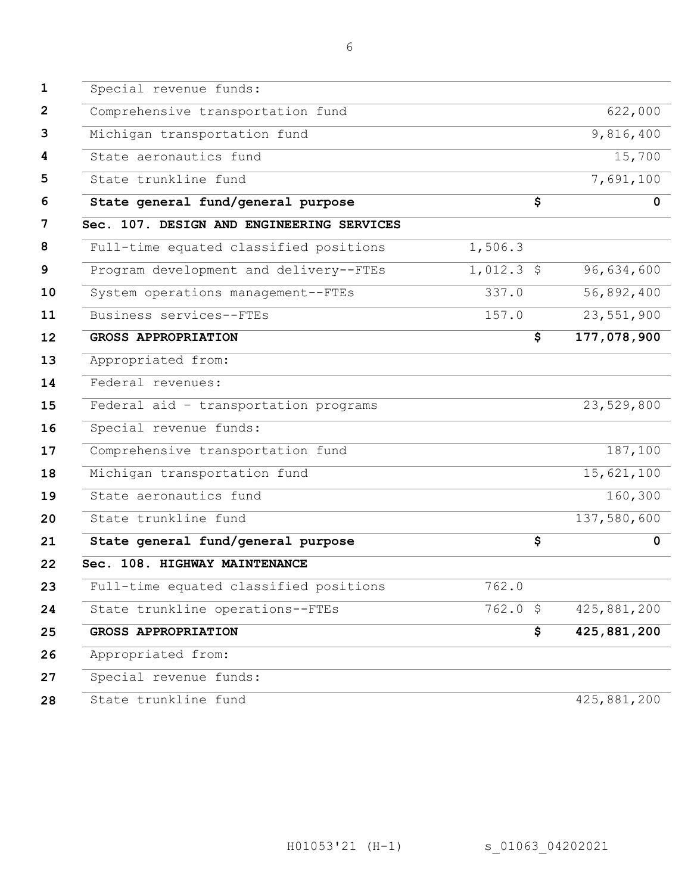| $\mathbf{1}$ | Special revenue funds:                    |              |              |
|--------------|-------------------------------------------|--------------|--------------|
| $\mathbf{2}$ | Comprehensive transportation fund         |              | 622,000      |
| 3            | Michigan transportation fund              |              | 9,816,400    |
| 4            | State aeronautics fund                    |              | 15,700       |
| 5            | State trunkline fund                      |              | 7,691,100    |
| 6            | State general fund/general purpose        | \$           | $\mathbf{0}$ |
| 7            | Sec. 107. DESIGN AND ENGINEERING SERVICES |              |              |
| 8            | Full-time equated classified positions    | 1,506.3      |              |
| 9            | Program development and delivery--FTEs    | $1,012.3$ \$ | 96,634,600   |
| 10           | System operations management--FTEs        | 337.0        | 56,892,400   |
| 11           | Business services--FTEs                   | 157.0        | 23,551,900   |
| 12           | <b>GROSS APPROPRIATION</b>                | \$           | 177,078,900  |
| 13           | Appropriated from:                        |              |              |
| 14           | Federal revenues:                         |              |              |
| 15           | Federal aid - transportation programs     |              | 23,529,800   |
| 16           | Special revenue funds:                    |              |              |
| 17           | Comprehensive transportation fund         |              | 187,100      |
| 18           | Michigan transportation fund              |              | 15,621,100   |
| 19           | State aeronautics fund                    |              | 160,300      |
| 20           | State trunkline fund                      |              | 137,580,600  |
| 21           | State general fund/general purpose        | \$           | $\mathbf 0$  |
| 22           | Sec. 108. HIGHWAY MAINTENANCE             |              |              |
| 23           | Full-time equated classified positions    | 762.0        |              |
| 24           | State trunkline operations--FTEs          | $762.0$ \$   | 425,881,200  |
| 25           | <b>GROSS APPROPRIATION</b>                | \$           | 425,881,200  |
| 26           | Appropriated from:                        |              |              |
| 27           | Special revenue funds:                    |              |              |
| 28           | State trunkline fund                      |              | 425,881,200  |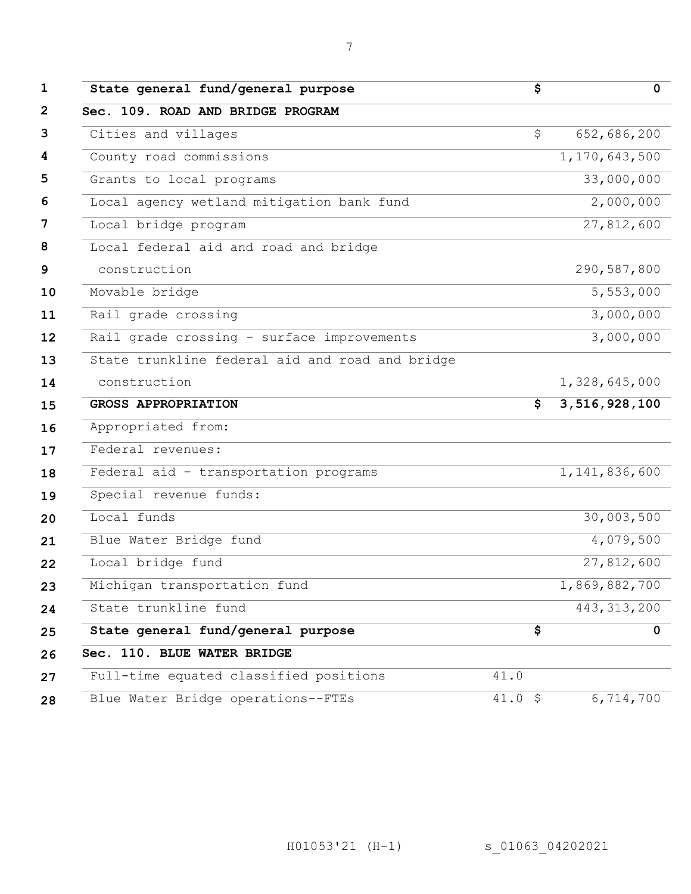| State general fund/general purpose              | \$           | $\mathbf 0$      |
|-------------------------------------------------|--------------|------------------|
| Sec. 109. ROAD AND BRIDGE PROGRAM               |              |                  |
| Cities and villages                             | \$           | 652,686,200      |
| County road commissions                         |              | 1,170,643,500    |
| Grants to local programs                        |              | 33,000,000       |
| Local agency wetland mitigation bank fund       |              | 2,000,000        |
| Local bridge program                            |              | 27,812,600       |
| Local federal aid and road and bridge           |              |                  |
| construction                                    |              | 290,587,800      |
| Movable bridge                                  |              | 5,553,000        |
| Rail grade crossing                             |              | 3,000,000        |
| Rail grade crossing - surface improvements      |              | 3,000,000        |
| State trunkline federal aid and road and bridge |              |                  |
| construction                                    |              | 1,328,645,000    |
| <b>GROSS APPROPRIATION</b>                      | \$           | 3,516,928,100    |
| Appropriated from:                              |              |                  |
| Federal revenues:                               |              |                  |
| Federal aid - transportation programs           |              | 1, 141, 836, 600 |
| Special revenue funds:                          |              |                  |
| Local funds                                     |              | 30,003,500       |
| Blue Water Bridge fund                          |              | 4,079,500        |
| Local bridge fund                               |              | 27,812,600       |
| Michigan transportation fund                    |              | 1,869,882,700    |
| State trunkline fund                            |              | 443, 313, 200    |
| State general fund/general purpose              | \$           | $\mathbf 0$      |
| Sec. 110. BLUE WATER BRIDGE                     |              |                  |
| Full-time equated classified positions          | 41.0         |                  |
| Blue Water Bridge operations--FTEs              | $41.0 \;$ \$ | 6,714,700        |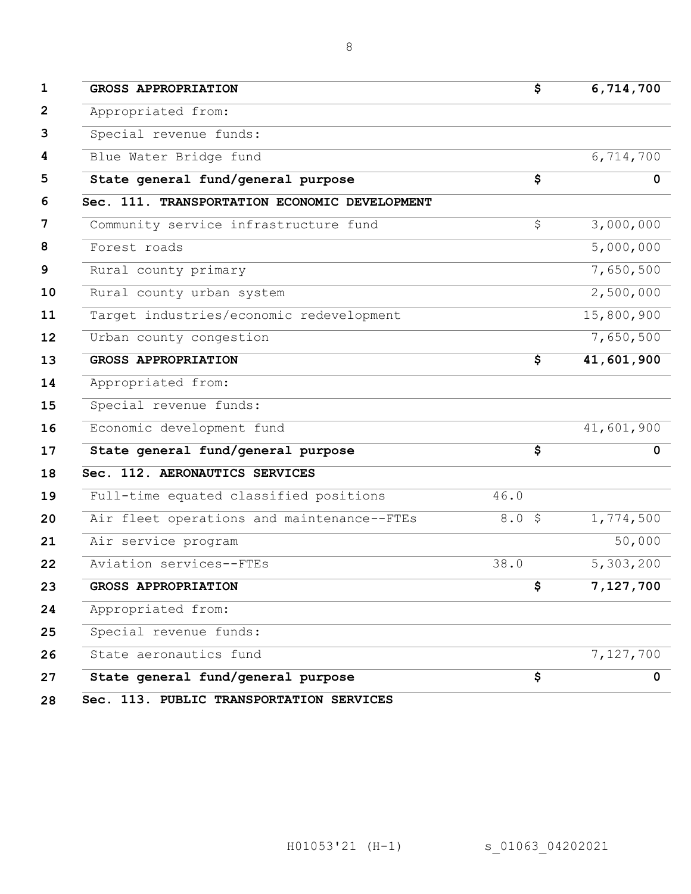| <b>GROSS APPROPRIATION</b>                    | \$       | 6,714,700              |
|-----------------------------------------------|----------|------------------------|
| Appropriated from:                            |          |                        |
| Special revenue funds:                        |          |                        |
| Blue Water Bridge fund                        |          | 6,714,700              |
| State general fund/general purpose            | \$       | $\mathbf{0}$           |
| Sec. 111. TRANSPORTATION ECONOMIC DEVELOPMENT |          |                        |
| Community service infrastructure fund         | \$       | 3,000,000              |
| Forest roads                                  |          | $\overline{5,000,000}$ |
| Rural county primary                          |          | 7,650,500              |
| Rural county urban system                     |          | 2,500,000              |
| Target industries/economic redevelopment      |          | 15,800,900             |
| Urban county congestion                       |          | 7,650,500              |
| <b>GROSS APPROPRIATION</b>                    | \$       | 41,601,900             |
| Appropriated from:                            |          |                        |
| Special revenue funds:                        |          |                        |
| Economic development fund                     |          | 41,601,900             |
| State general fund/general purpose            | \$       | 0                      |
| Sec. 112. AERONAUTICS SERVICES                |          |                        |
| Full-time equated classified positions        | 46.0     |                        |
| Air fleet operations and maintenance--FTEs    | $8.0$ \$ | 1,774,500              |
| Air service program                           |          | 50,000                 |
| Aviation services--FTEs                       | 38.0     | 5,303,200              |
| <b>GROSS APPROPRIATION</b>                    | P.       | 7,127,700              |
| Appropriated from:                            |          |                        |
| Special revenue funds:                        |          |                        |
| State aeronautics fund                        |          | 7,127,700              |
| State general fund/general purpose            | \$       | 0                      |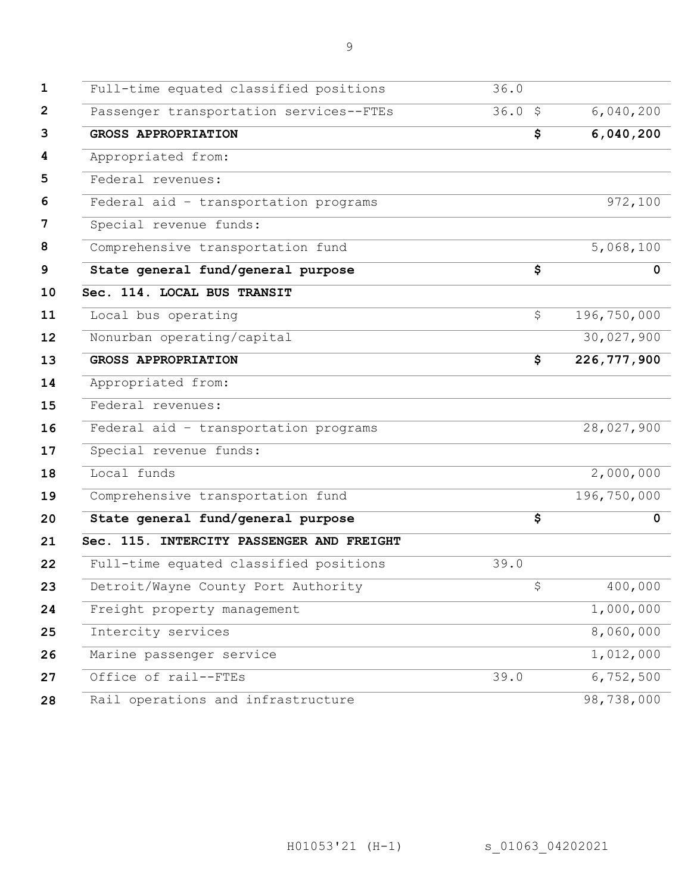| Federal aid - transportation programs     |      | 28,027,900  |
|-------------------------------------------|------|-------------|
| Special revenue funds:                    |      |             |
| Local funds                               |      | 2,000,000   |
| Comprehensive transportation fund         |      | 196,750,000 |
| State general fund/general purpose        | \$   | 0           |
| Sec. 115. INTERCITY PASSENGER AND FREIGHT |      |             |
| Full-time equated classified positions    | 39.0 |             |
| Detroit/Wayne County Port Authority       | \$   | 400,000     |
| Freight property management               |      | 1,000,000   |
| Intercity services                        |      | 8,060,000   |
| Marine passenger service                  |      | 1,012,000   |
| Office of rail--FTEs                      | 39.0 | 6,752,500   |
| Rail operations and infrastructure        |      | 98,738,000  |
|                                           |      |             |
|                                           |      |             |
|                                           |      |             |
|                                           |      |             |

| Full-time equated classified positions    | 36.0                                 |               |
|-------------------------------------------|--------------------------------------|---------------|
| Passenger transportation services--FTEs   | 36.05                                | 6,040,200     |
| <b>GROSS APPROPRIATION</b>                | \$                                   | 6,040,200     |
| Appropriated from:                        |                                      |               |
| Federal revenues:                         |                                      |               |
| Federal aid - transportation programs     |                                      | 972,100       |
| Special revenue funds:                    |                                      |               |
| Comprehensive transportation fund         |                                      | 5,068,100     |
| State general fund/general purpose        | $\overline{\boldsymbol{\mathsf{s}}}$ | 0             |
| Sec. 114. LOCAL BUS TRANSIT               |                                      |               |
| Local bus operating                       | \$                                   | 196,750,000   |
| Nonurban operating/capital                |                                      | 30,027,900    |
| <b>GROSS APPROPRIATION</b>                | \$                                   | 226, 777, 900 |
| Appropriated from:                        |                                      |               |
| Federal revenues:                         |                                      |               |
| Federal aid - transportation programs     |                                      | 28,027,900    |
| Special revenue funds:                    |                                      |               |
| Local funds                               |                                      | 2,000,000     |
| Comprehensive transportation fund         |                                      | 196,750,000   |
| State general fund/general purpose        | \$                                   | $\Omega$      |
| Sec. 115. INTERCITY PASSENGER AND FREIGHT |                                      |               |
| Full-time equated classified positions    | 39.0                                 |               |
| Detroit/Wayne County Port Authority       | \$                                   | 400,000       |
| Freight property management               |                                      | 1,000,000     |
| Intercity services                        |                                      | 8,060,000     |
| Marine passenger service                  |                                      | 1,012,000     |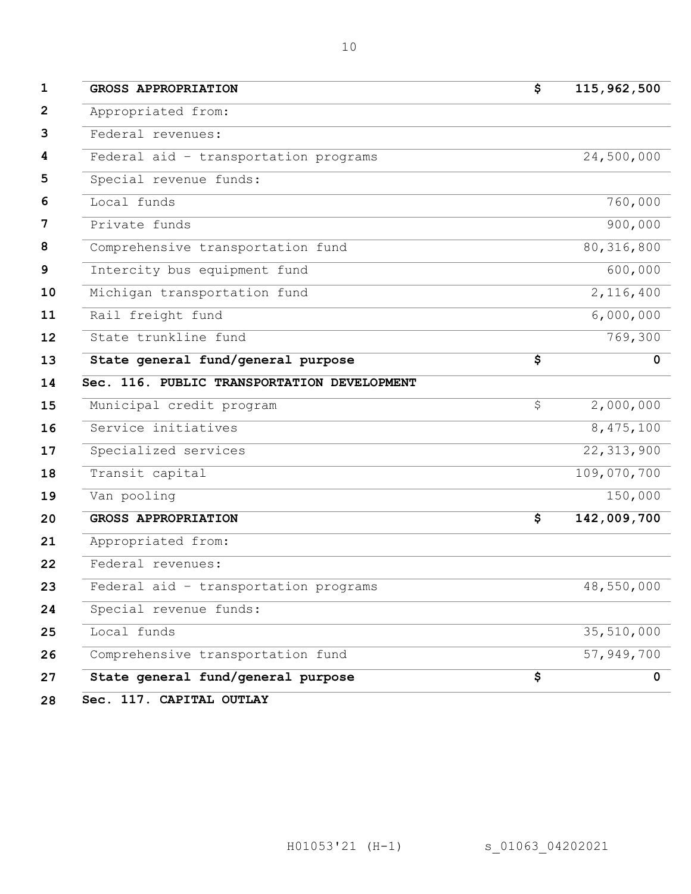| <b>GROSS APPROPRIATION</b>                  | \$<br>115,962,500                       |
|---------------------------------------------|-----------------------------------------|
| Appropriated from:                          |                                         |
| Federal revenues:                           |                                         |
| Federal aid - transportation programs       | 24,500,000                              |
| Special revenue funds:                      |                                         |
| Local funds                                 | 760,000                                 |
| Private funds                               | 900,000                                 |
| Comprehensive transportation fund           | 80, 316, 800                            |
| Intercity bus equipment fund                | 600,000                                 |
| Michigan transportation fund                | 2,116,400                               |
| Rail freight fund                           | 6,000,000                               |
| State trunkline fund                        | 769,300                                 |
| State general fund/general purpose          | \$<br>$\mathbf 0$                       |
| Sec. 116. PUBLIC TRANSPORTATION DEVELOPMENT |                                         |
| Municipal credit program                    | \$<br>2,000,000                         |
|                                             |                                         |
| Service initiatives                         | 8,475,100                               |
| Specialized services                        | 22, 313, 900                            |
| Transit capital                             | 109,070,700                             |
| Van pooling                                 | 150,000                                 |
| <b>GROSS APPROPRIATION</b>                  | \$                                      |
| Appropriated from:                          |                                         |
| Federal revenues:                           |                                         |
| Federal aid - transportation programs       |                                         |
| Special revenue funds:                      | 48,550,000                              |
| Local funds                                 |                                         |
| Comprehensive transportation fund           | 142,009,700<br>35,510,000<br>57,949,700 |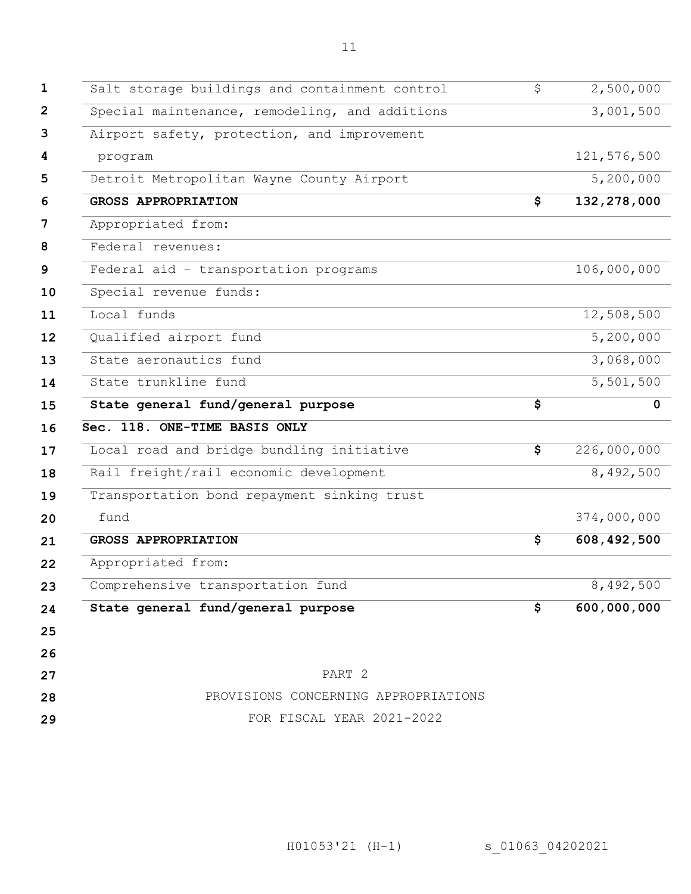| Salt storage buildings and containment control | \$<br>2,500,000           |
|------------------------------------------------|---------------------------|
| Special maintenance, remodeling, and additions | 3,001,500                 |
| Airport safety, protection, and improvement    |                           |
| program                                        | 121,576,500               |
| Detroit Metropolitan Wayne County Airport      | 5,200,000                 |
| <b>GROSS APPROPRIATION</b>                     | \$<br>132,278,000         |
| Appropriated from:                             |                           |
| Federal revenues:                              |                           |
| Federal aid - transportation programs          | 106,000,000               |
| Special revenue funds:                         |                           |
| Local funds                                    | $\overline{12,508}$ , 500 |
| Qualified airport fund                         | $\overline{5,200,000}$    |
| State aeronautics fund                         | 3,068,000                 |
| State trunkline fund                           | 5,501,500                 |
| State general fund/general purpose             | \$<br>$\mathbf 0$         |
| Sec. 118. ONE-TIME BASIS ONLY                  |                           |
| Local road and bridge bundling initiative      | \$<br>226,000,000         |
| Rail freight/rail economic development         | 8,492,500                 |
| Transportation bond repayment sinking trust    |                           |
| fund                                           | 374,000,000               |
| <b>GROSS APPROPRIATION</b>                     | \$<br>608, 492, 500       |
| Appropriated from:                             |                           |
| Comprehensive transportation fund              | 8,492,500                 |
| State general fund/general purpose             | \$<br>600,000,000         |
|                                                |                           |
|                                                |                           |
| PART 2                                         |                           |
| PROVISIONS CONCERNING APPROPRIATIONS           |                           |
|                                                |                           |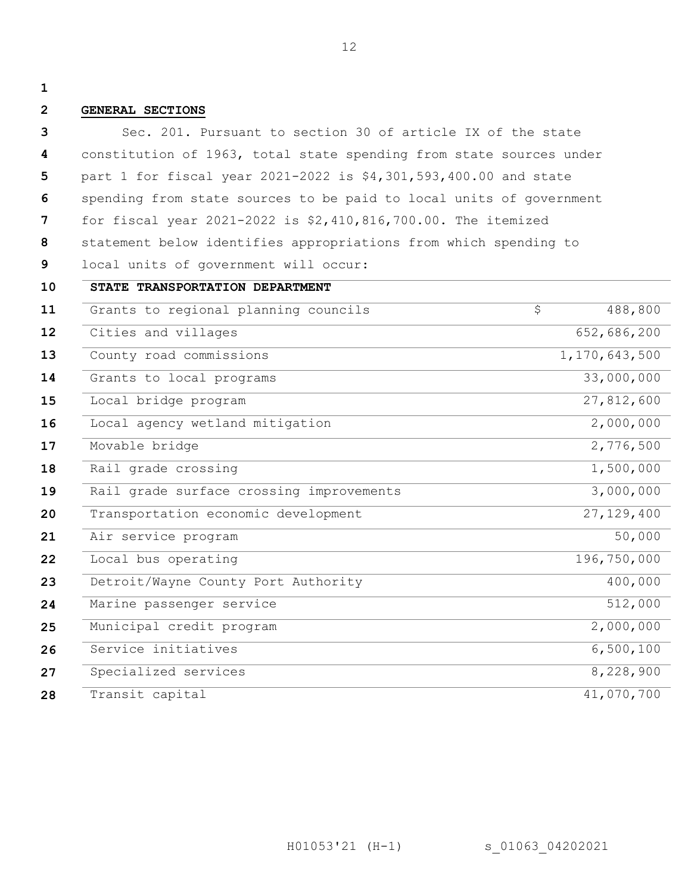**1**

#### **2 GENERAL SECTIONS**

**3 4 5 6 7 8 9 10 11 12 13 14 15 16 17 18 19 20 21 22 23 24 25 26 27 28** Sec. 201. Pursuant to section 30 of article IX of the state constitution of 1963, total state spending from state sources under part 1 for fiscal year 2021-2022 is \$4,301,593,400.00 and state spending from state sources to be paid to local units of government for fiscal year 2021-2022 is \$2,410,816,700.00. The itemized statement below identifies appropriations from which spending to local units of government will occur: **STATE TRANSPORTATION DEPARTMENT** Grants to regional planning councils  $\frac{1}{5}$  488,800 Cities and villages 652,686,200 County road commissions 1,170,643,500 Grants to local programs 33,000,000 Local bridge program 27,812,600 Local agency wetland mitigation 2,000,000 Movable bridge 2,776,500 Rail grade crossing  $1,500,000$ Rail grade surface crossing improvements 3,000,000 Transportation economic development 27,129,400 Air service program 50,000 Local bus operating 196,750,000 Detroit/Wayne County Port Authority 400,000 Marine passenger service 512,000 Municipal credit program 2,000,000 Service initiatives 6,500,100 Specialized services 8,228,900 Transit capital 41,070,700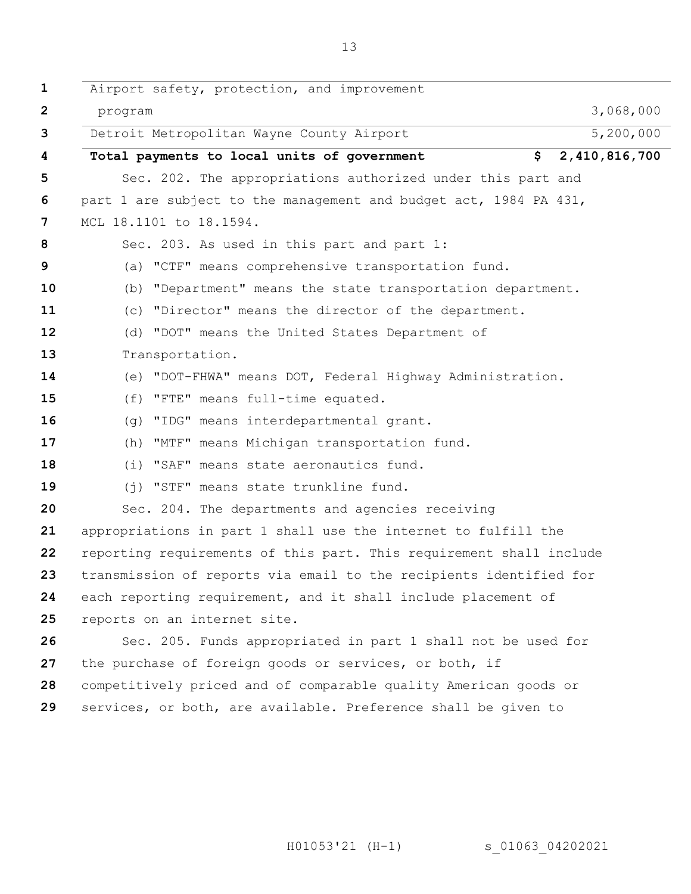| $\mathbf 1$       | Airport safety, protection, and improvement                         |               |
|-------------------|---------------------------------------------------------------------|---------------|
| $\mathbf{2}$      | program                                                             | 3,068,000     |
| 3                 | Detroit Metropolitan Wayne County Airport                           | 5,200,000     |
| 4                 | Total payments to local units of government<br>\$                   | 2,410,816,700 |
| 5                 | Sec. 202. The appropriations authorized under this part and         |               |
| 6                 | part 1 are subject to the management and budget act, 1984 PA 431,   |               |
| 7                 | MCL 18.1101 to 18.1594.                                             |               |
| 8                 | Sec. 203. As used in this part and part 1:                          |               |
| 9                 | (a) "CTF" means comprehensive transportation fund.                  |               |
| 10                | (b) "Department" means the state transportation department.         |               |
| 11                | (c) "Director" means the director of the department.                |               |
| 12                | (d) "DOT" means the United States Department of                     |               |
| 13                | Transportation.                                                     |               |
| 14                | (e) "DOT-FHWA" means DOT, Federal Highway Administration.           |               |
| 15                | (f) "FTE" means full-time equated.                                  |               |
| 16                | (g) "IDG" means interdepartmental grant.                            |               |
| 17                | (h) "MTF" means Michigan transportation fund.                       |               |
| 18                | (i) "SAF" means state aeronautics fund.                             |               |
| 19                | (j) "STF" means state trunkline fund.                               |               |
| 20                | Sec. 204. The departments and agencies receiving                    |               |
| 21                | appropriations in part 1 shall use the internet to fulfill the      |               |
| $22 \overline{ }$ | reporting requirements of this part. This requirement shall include |               |
| 23                | transmission of reports via email to the recipients identified for  |               |
| 24                | each reporting requirement, and it shall include placement of       |               |
| 25                | reports on an internet site.                                        |               |
| 26                | Sec. 205. Funds appropriated in part 1 shall not be used for        |               |
| 27                | the purchase of foreign goods or services, or both, if              |               |
| 28                | competitively priced and of comparable quality American goods or    |               |
| 29                | services, or both, are available. Preference shall be given to      |               |

H01053'21 (H-1) s\_01063\_04202021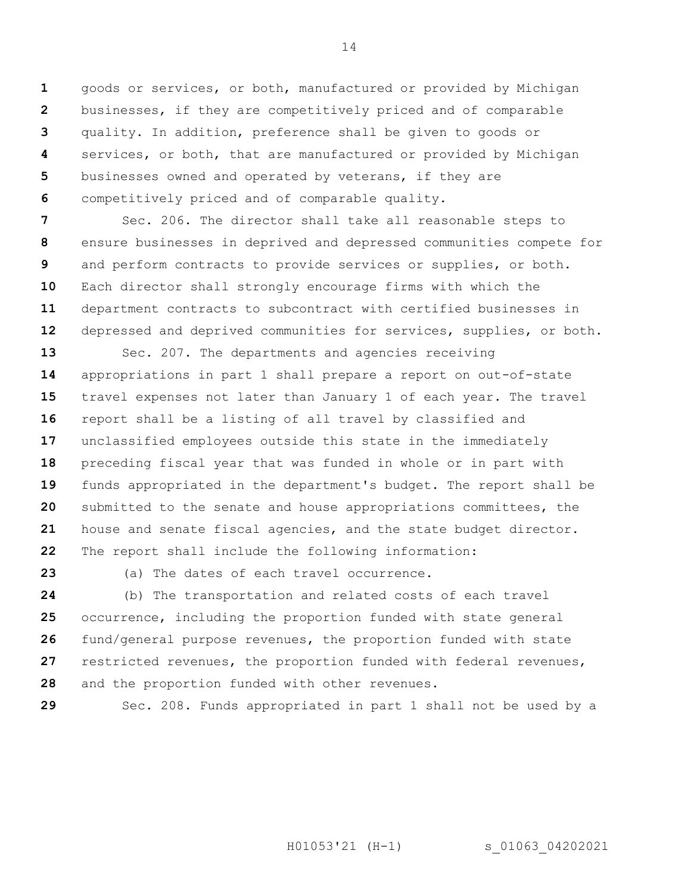**1 2 3 4 5 6** goods or services, or both, manufactured or provided by Michigan businesses, if they are competitively priced and of comparable quality. In addition, preference shall be given to goods or services, or both, that are manufactured or provided by Michigan businesses owned and operated by veterans, if they are competitively priced and of comparable quality.

**7 8 9 10 11 12** Sec. 206. The director shall take all reasonable steps to ensure businesses in deprived and depressed communities compete for and perform contracts to provide services or supplies, or both. Each director shall strongly encourage firms with which the department contracts to subcontract with certified businesses in depressed and deprived communities for services, supplies, or both.

**13 14 15 16 17 18 19 20 21 22** Sec. 207. The departments and agencies receiving appropriations in part 1 shall prepare a report on out-of-state travel expenses not later than January 1 of each year. The travel report shall be a listing of all travel by classified and unclassified employees outside this state in the immediately preceding fiscal year that was funded in whole or in part with funds appropriated in the department's budget. The report shall be submitted to the senate and house appropriations committees, the house and senate fiscal agencies, and the state budget director. The report shall include the following information:

**23**

(a) The dates of each travel occurrence.

**24 25 26 27 28** (b) The transportation and related costs of each travel occurrence, including the proportion funded with state general fund/general purpose revenues, the proportion funded with state restricted revenues, the proportion funded with federal revenues, and the proportion funded with other revenues.

**29**

Sec. 208. Funds appropriated in part 1 shall not be used by a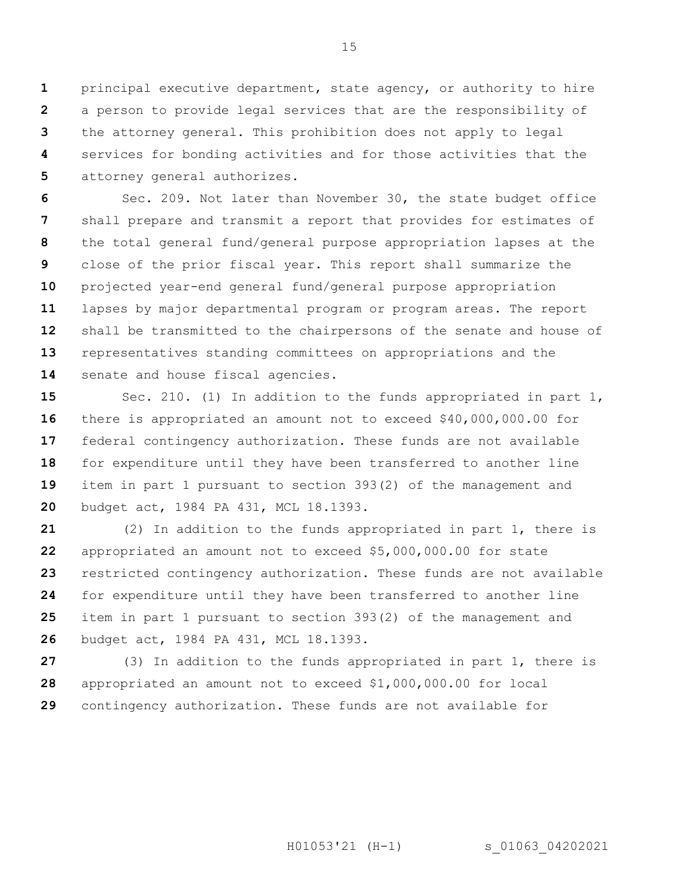**1 2 3 4 5** principal executive department, state agency, or authority to hire a person to provide legal services that are the responsibility of the attorney general. This prohibition does not apply to legal services for bonding activities and for those activities that the attorney general authorizes.

**6 7 8 9 10 11 12 13 14** Sec. 209. Not later than November 30, the state budget office shall prepare and transmit a report that provides for estimates of the total general fund/general purpose appropriation lapses at the close of the prior fiscal year. This report shall summarize the projected year-end general fund/general purpose appropriation lapses by major departmental program or program areas. The report shall be transmitted to the chairpersons of the senate and house of representatives standing committees on appropriations and the senate and house fiscal agencies.

**15 16 17 18 19 20** Sec. 210. (1) In addition to the funds appropriated in part  $1$ , there is appropriated an amount not to exceed \$40,000,000.00 for federal contingency authorization. These funds are not available for expenditure until they have been transferred to another line item in part 1 pursuant to section 393(2) of the management and budget act, 1984 PA 431, MCL 18.1393.

**21 22 23 24 25 26** (2) In addition to the funds appropriated in part 1, there is appropriated an amount not to exceed \$5,000,000.00 for state restricted contingency authorization. These funds are not available for expenditure until they have been transferred to another line item in part 1 pursuant to section 393(2) of the management and budget act, 1984 PA 431, MCL 18.1393.

**27 28 29** (3) In addition to the funds appropriated in part 1, there is appropriated an amount not to exceed \$1,000,000.00 for local contingency authorization. These funds are not available for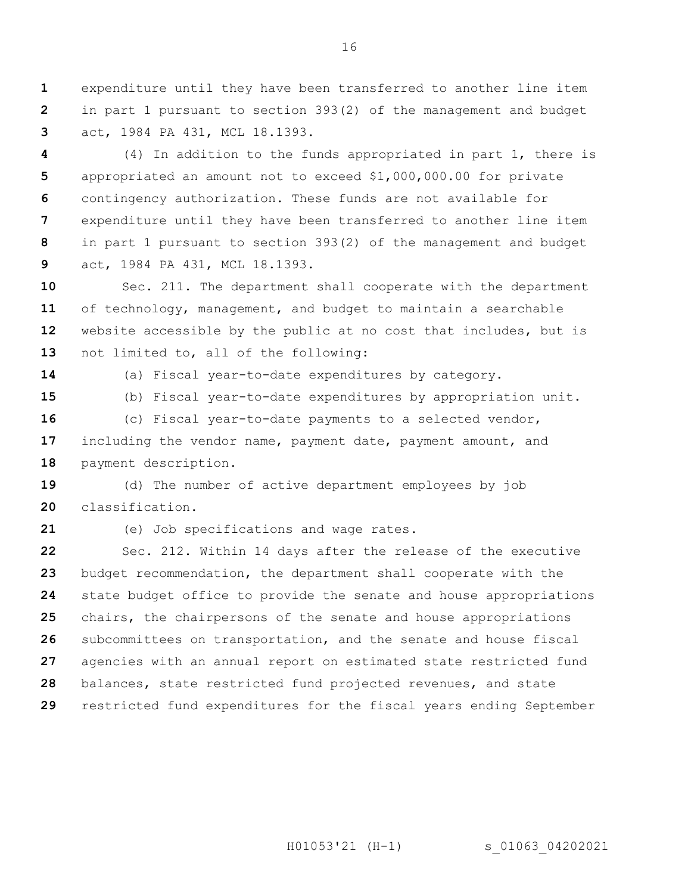**1 2 3** expenditure until they have been transferred to another line item in part 1 pursuant to section 393(2) of the management and budget act, 1984 PA 431, MCL 18.1393.

**4 5 6 7 8 9** (4) In addition to the funds appropriated in part 1, there is appropriated an amount not to exceed \$1,000,000.00 for private contingency authorization. These funds are not available for expenditure until they have been transferred to another line item in part 1 pursuant to section 393(2) of the management and budget act, 1984 PA 431, MCL 18.1393.

**10 11 12 13** Sec. 211. The department shall cooperate with the department of technology, management, and budget to maintain a searchable website accessible by the public at no cost that includes, but is not limited to, all of the following:

**14**

(a) Fiscal year-to-date expenditures by category.

**15 16** (b) Fiscal year-to-date expenditures by appropriation unit. (c) Fiscal year-to-date payments to a selected vendor,

**17 18** including the vendor name, payment date, payment amount, and payment description.

**19 20** (d) The number of active department employees by job classification.

**21**

(e) Job specifications and wage rates.

**22 23 24 25 26 27 28 29** Sec. 212. Within 14 days after the release of the executive budget recommendation, the department shall cooperate with the state budget office to provide the senate and house appropriations chairs, the chairpersons of the senate and house appropriations subcommittees on transportation, and the senate and house fiscal agencies with an annual report on estimated state restricted fund balances, state restricted fund projected revenues, and state restricted fund expenditures for the fiscal years ending September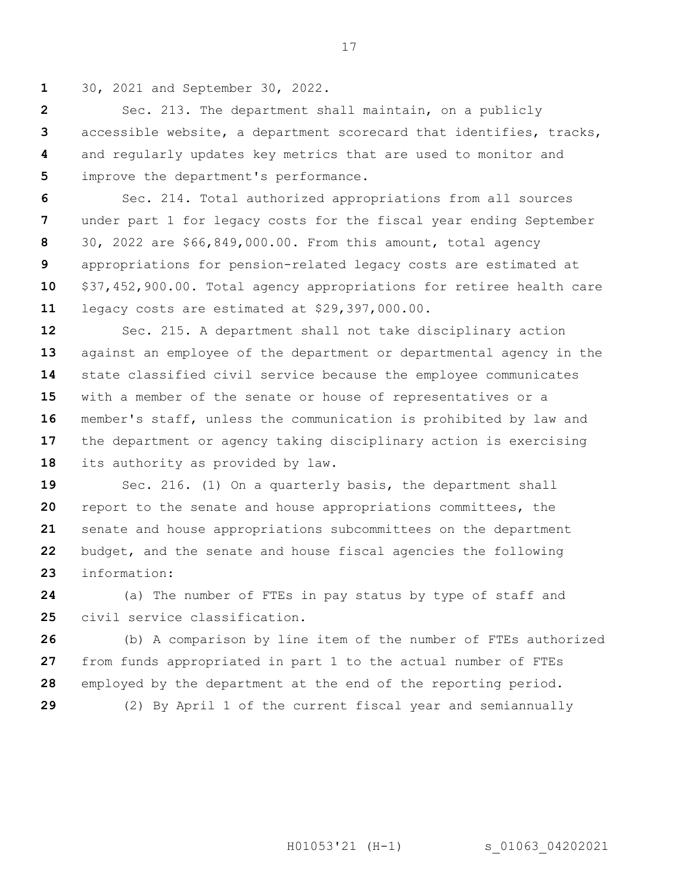**1** 30, 2021 and September 30, 2022.

**2 3 4 5** Sec. 213. The department shall maintain, on a publicly accessible website, a department scorecard that identifies, tracks, and regularly updates key metrics that are used to monitor and improve the department's performance.

**6 7 8 9 10 11** Sec. 214. Total authorized appropriations from all sources under part 1 for legacy costs for the fiscal year ending September 30, 2022 are \$66,849,000.00. From this amount, total agency appropriations for pension-related legacy costs are estimated at \$37,452,900.00. Total agency appropriations for retiree health care legacy costs are estimated at \$29,397,000.00.

**12 13 14 15 16 17 18** Sec. 215. A department shall not take disciplinary action against an employee of the department or departmental agency in the state classified civil service because the employee communicates with a member of the senate or house of representatives or a member's staff, unless the communication is prohibited by law and the department or agency taking disciplinary action is exercising its authority as provided by law.

**19 20 21 22 23** Sec. 216. (1) On a quarterly basis, the department shall report to the senate and house appropriations committees, the senate and house appropriations subcommittees on the department budget, and the senate and house fiscal agencies the following information:

**24 25** (a) The number of FTEs in pay status by type of staff and civil service classification.

**26 27 28 29** (b) A comparison by line item of the number of FTEs authorized from funds appropriated in part 1 to the actual number of FTEs employed by the department at the end of the reporting period. (2) By April 1 of the current fiscal year and semiannually

H01053'21 (H-1) s 01063 04202021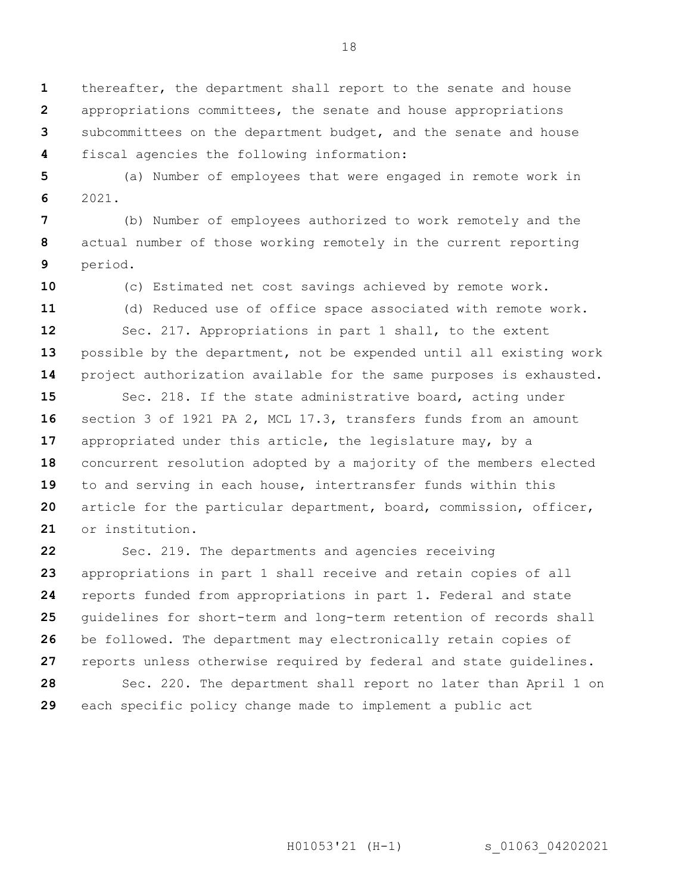**1 2 3** thereafter, the department shall report to the senate and house appropriations committees, the senate and house appropriations subcommittees on the department budget, and the senate and house

fiscal agencies the following information:

**5 6** (a) Number of employees that were engaged in remote work in 2021.

**7 8 9** (b) Number of employees authorized to work remotely and the actual number of those working remotely in the current reporting period.

**10**

**4**

(c) Estimated net cost savings achieved by remote work.

**11** (d) Reduced use of office space associated with remote work.

**12 13 14** Sec. 217. Appropriations in part 1 shall, to the extent possible by the department, not be expended until all existing work project authorization available for the same purposes is exhausted.

**15 16 17 18 19 20 21** Sec. 218. If the state administrative board, acting under section 3 of 1921 PA 2, MCL 17.3, transfers funds from an amount appropriated under this article, the legislature may, by a concurrent resolution adopted by a majority of the members elected to and serving in each house, intertransfer funds within this article for the particular department, board, commission, officer, or institution.

**22 23 24 25 26 27 28 29** Sec. 219. The departments and agencies receiving appropriations in part 1 shall receive and retain copies of all reports funded from appropriations in part 1. Federal and state guidelines for short-term and long-term retention of records shall be followed. The department may electronically retain copies of reports unless otherwise required by federal and state guidelines. Sec. 220. The department shall report no later than April 1 on each specific policy change made to implement a public act

H01053'21 (H-1) s 01063 04202021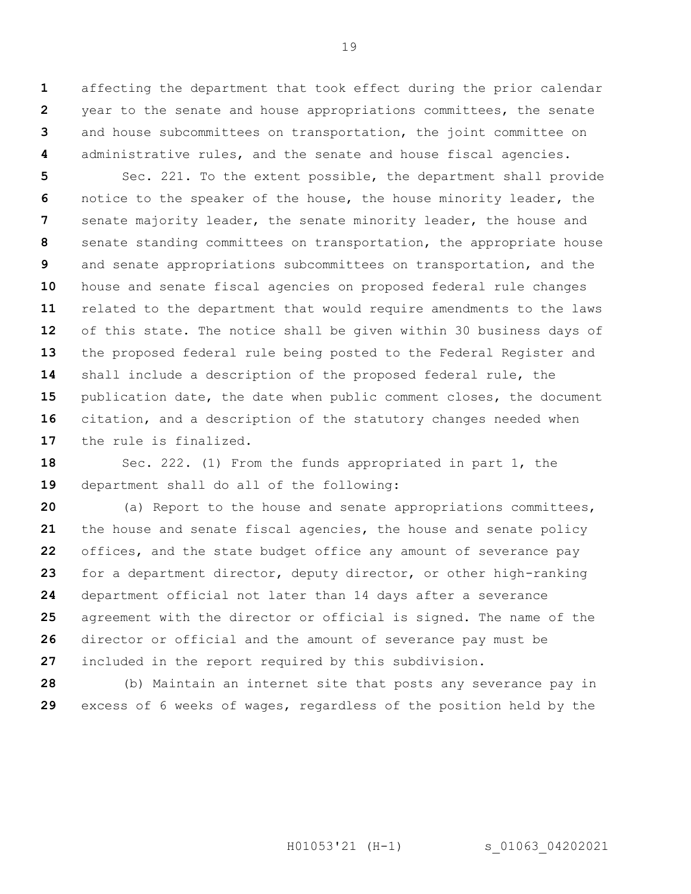**1 2 3 4** affecting the department that took effect during the prior calendar year to the senate and house appropriations committees, the senate and house subcommittees on transportation, the joint committee on administrative rules, and the senate and house fiscal agencies.

**5 6 7 8 9 10 11 12 13 14 15 16 17** Sec. 221. To the extent possible, the department shall provide notice to the speaker of the house, the house minority leader, the senate majority leader, the senate minority leader, the house and senate standing committees on transportation, the appropriate house and senate appropriations subcommittees on transportation, and the house and senate fiscal agencies on proposed federal rule changes related to the department that would require amendments to the laws of this state. The notice shall be given within 30 business days of the proposed federal rule being posted to the Federal Register and shall include a description of the proposed federal rule, the publication date, the date when public comment closes, the document citation, and a description of the statutory changes needed when the rule is finalized.

**18 19** Sec. 222. (1) From the funds appropriated in part 1, the department shall do all of the following:

**20 21 22 23 24 25 26 27** (a) Report to the house and senate appropriations committees, the house and senate fiscal agencies, the house and senate policy offices, and the state budget office any amount of severance pay for a department director, deputy director, or other high-ranking department official not later than 14 days after a severance agreement with the director or official is signed. The name of the director or official and the amount of severance pay must be included in the report required by this subdivision.

**28 29** (b) Maintain an internet site that posts any severance pay in excess of 6 weeks of wages, regardless of the position held by the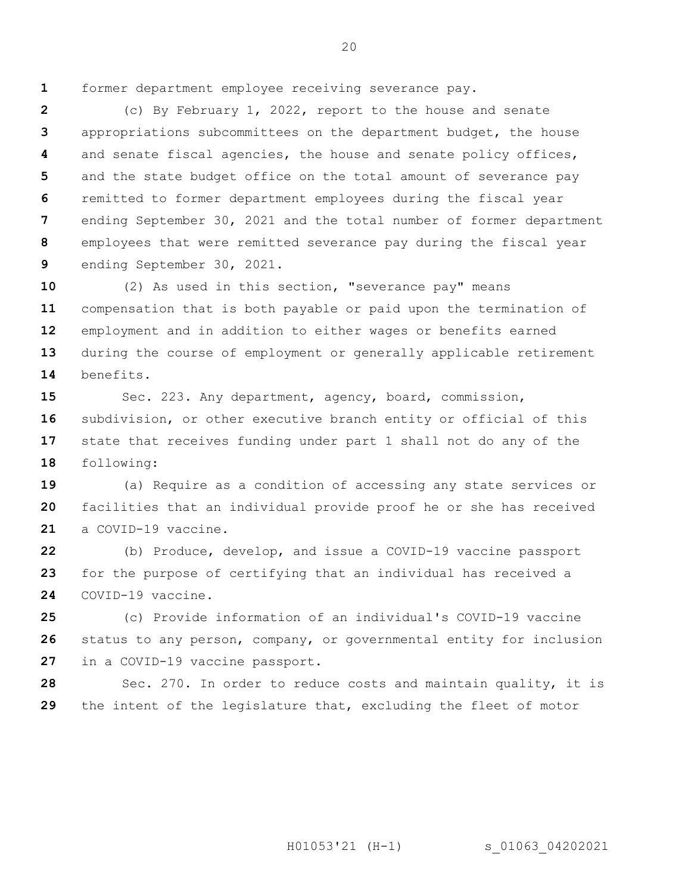**1**

former department employee receiving severance pay.

**2 3 4 5 6 7 8 9** (c) By February 1, 2022, report to the house and senate appropriations subcommittees on the department budget, the house and senate fiscal agencies, the house and senate policy offices, and the state budget office on the total amount of severance pay remitted to former department employees during the fiscal year ending September 30, 2021 and the total number of former department employees that were remitted severance pay during the fiscal year ending September 30, 2021.

**10 11 12 13 14** (2) As used in this section, "severance pay" means compensation that is both payable or paid upon the termination of employment and in addition to either wages or benefits earned during the course of employment or generally applicable retirement benefits.

**15 16 17 18** Sec. 223. Any department, agency, board, commission, subdivision, or other executive branch entity or official of this state that receives funding under part 1 shall not do any of the following:

**19 20 21** (a) Require as a condition of accessing any state services or facilities that an individual provide proof he or she has received a COVID-19 vaccine.

**22 23 24** (b) Produce, develop, and issue a COVID-19 vaccine passport for the purpose of certifying that an individual has received a COVID-19 vaccine.

**25 26 27** (c) Provide information of an individual's COVID-19 vaccine status to any person, company, or governmental entity for inclusion in a COVID-19 vaccine passport.

**28 29** Sec. 270. In order to reduce costs and maintain quality, it is the intent of the legislature that, excluding the fleet of motor

H01053'21 (H-1) s 01063 04202021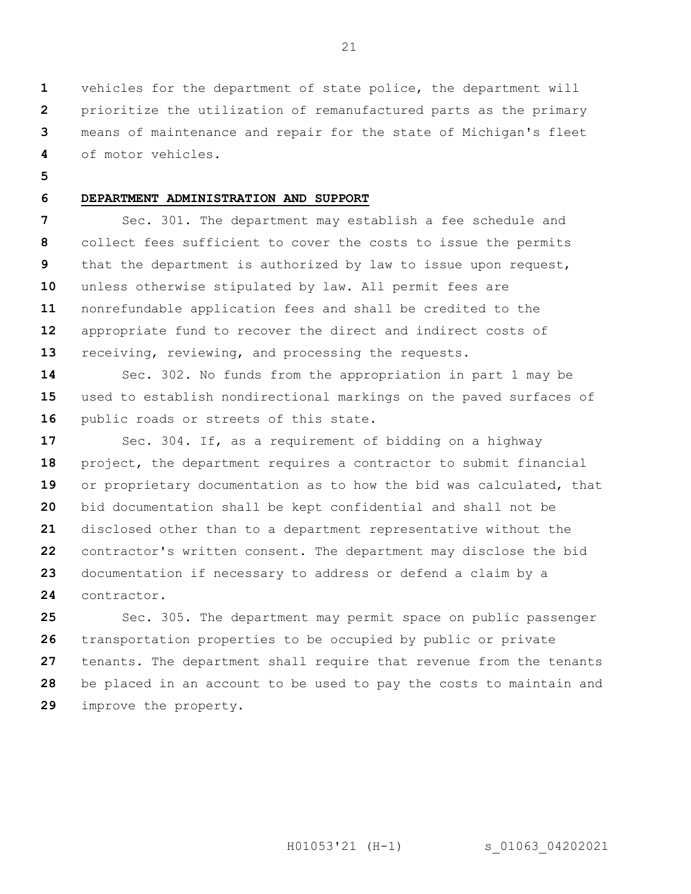**1 2 3 4** vehicles for the department of state police, the department will prioritize the utilization of remanufactured parts as the primary means of maintenance and repair for the state of Michigan's fleet of motor vehicles.

**5**

#### **6 DEPARTMENT ADMINISTRATION AND SUPPORT**

**7 8 9 10 11 12 13** Sec. 301. The department may establish a fee schedule and collect fees sufficient to cover the costs to issue the permits that the department is authorized by law to issue upon request, unless otherwise stipulated by law. All permit fees are nonrefundable application fees and shall be credited to the appropriate fund to recover the direct and indirect costs of receiving, reviewing, and processing the requests.

**14 15 16** Sec. 302. No funds from the appropriation in part 1 may be used to establish nondirectional markings on the paved surfaces of public roads or streets of this state.

**17 18 19 20 21 22 23 24** Sec. 304. If, as a requirement of bidding on a highway project, the department requires a contractor to submit financial or proprietary documentation as to how the bid was calculated, that bid documentation shall be kept confidential and shall not be disclosed other than to a department representative without the contractor's written consent. The department may disclose the bid documentation if necessary to address or defend a claim by a contractor.

**25 26 27 28 29** Sec. 305. The department may permit space on public passenger transportation properties to be occupied by public or private tenants. The department shall require that revenue from the tenants be placed in an account to be used to pay the costs to maintain and improve the property.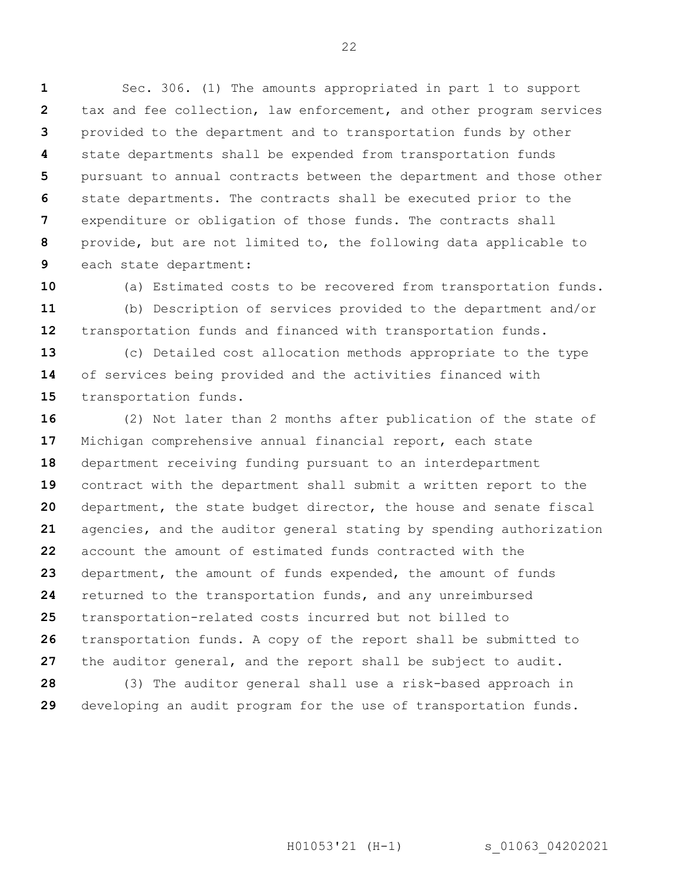**1 2 3 4 5 6 7 8 9** Sec. 306. (1) The amounts appropriated in part 1 to support tax and fee collection, law enforcement, and other program services provided to the department and to transportation funds by other state departments shall be expended from transportation funds pursuant to annual contracts between the department and those other state departments. The contracts shall be executed prior to the expenditure or obligation of those funds. The contracts shall provide, but are not limited to, the following data applicable to each state department:

**10**

**11 12** (a) Estimated costs to be recovered from transportation funds. (b) Description of services provided to the department and/or transportation funds and financed with transportation funds.

**13 14 15** (c) Detailed cost allocation methods appropriate to the type of services being provided and the activities financed with transportation funds.

**16 17 18 19 20 21 22 23 24 25 26 27 28** (2) Not later than 2 months after publication of the state of Michigan comprehensive annual financial report, each state department receiving funding pursuant to an interdepartment contract with the department shall submit a written report to the department, the state budget director, the house and senate fiscal agencies, and the auditor general stating by spending authorization account the amount of estimated funds contracted with the department, the amount of funds expended, the amount of funds returned to the transportation funds, and any unreimbursed transportation-related costs incurred but not billed to transportation funds. A copy of the report shall be submitted to the auditor general, and the report shall be subject to audit. (3) The auditor general shall use a risk-based approach in

**29** developing an audit program for the use of transportation funds.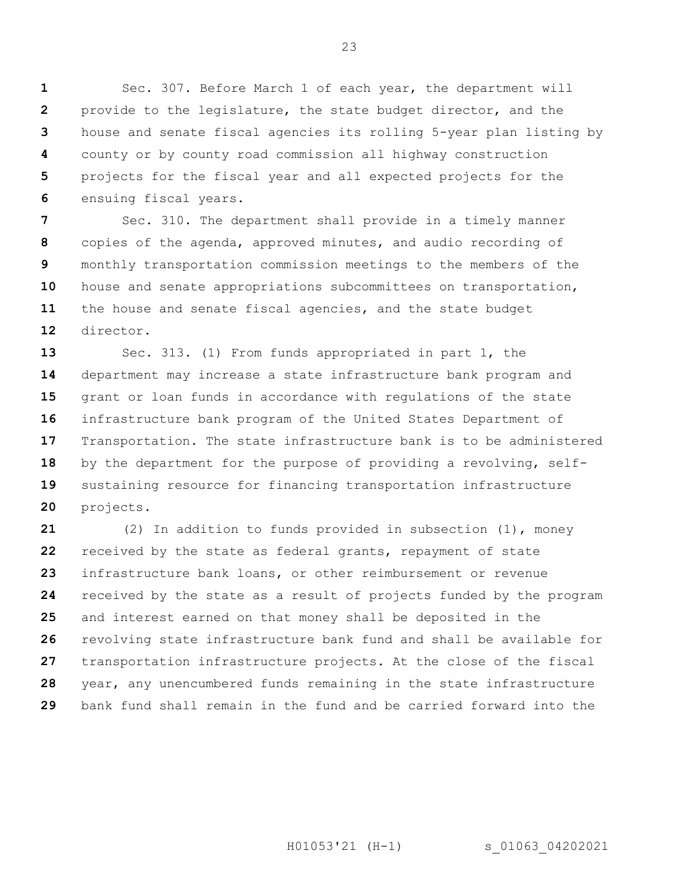**1 2 3 4 5 6** Sec. 307. Before March 1 of each year, the department will provide to the legislature, the state budget director, and the house and senate fiscal agencies its rolling 5-year plan listing by county or by county road commission all highway construction projects for the fiscal year and all expected projects for the ensuing fiscal years.

**7 8 9 10 11 12** Sec. 310. The department shall provide in a timely manner copies of the agenda, approved minutes, and audio recording of monthly transportation commission meetings to the members of the house and senate appropriations subcommittees on transportation, the house and senate fiscal agencies, and the state budget director.

**13 14 15 16 17 18 19 20** Sec. 313. (1) From funds appropriated in part 1, the department may increase a state infrastructure bank program and grant or loan funds in accordance with regulations of the state infrastructure bank program of the United States Department of Transportation. The state infrastructure bank is to be administered by the department for the purpose of providing a revolving, selfsustaining resource for financing transportation infrastructure projects.

**21 22 23 24 25 26 27 28 29** (2) In addition to funds provided in subsection (1), money received by the state as federal grants, repayment of state infrastructure bank loans, or other reimbursement or revenue received by the state as a result of projects funded by the program and interest earned on that money shall be deposited in the revolving state infrastructure bank fund and shall be available for transportation infrastructure projects. At the close of the fiscal year, any unencumbered funds remaining in the state infrastructure bank fund shall remain in the fund and be carried forward into the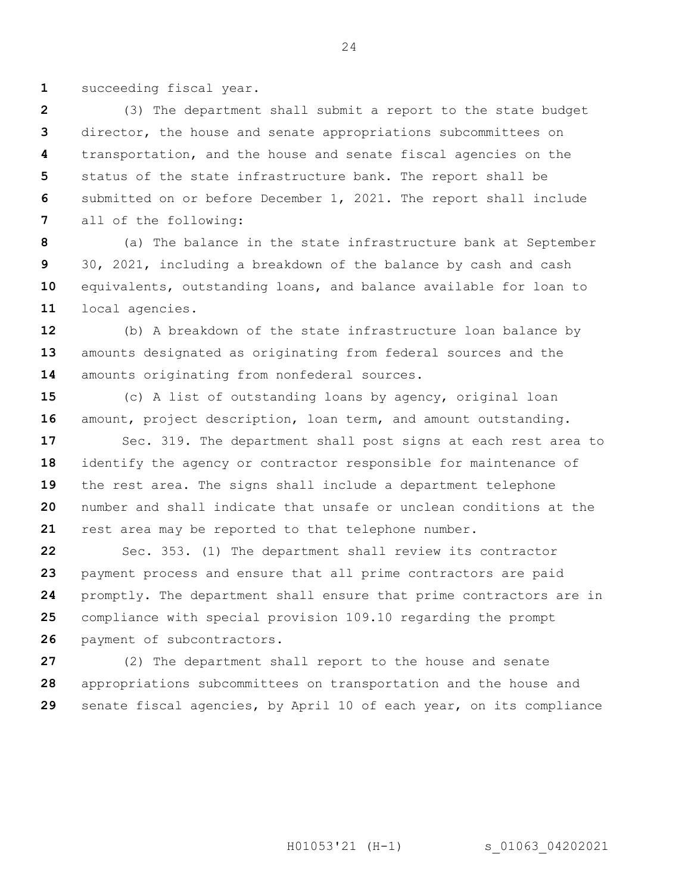**1** succeeding fiscal year.

**2 3 4 5 6 7** (3) The department shall submit a report to the state budget director, the house and senate appropriations subcommittees on transportation, and the house and senate fiscal agencies on the status of the state infrastructure bank. The report shall be submitted on or before December 1, 2021. The report shall include all of the following:

**8 9 10 11** (a) The balance in the state infrastructure bank at September 30, 2021, including a breakdown of the balance by cash and cash equivalents, outstanding loans, and balance available for loan to local agencies.

**12 13 14** (b) A breakdown of the state infrastructure loan balance by amounts designated as originating from federal sources and the amounts originating from nonfederal sources.

**15 16** (c) A list of outstanding loans by agency, original loan amount, project description, loan term, and amount outstanding.

**17 18 19 20 21** Sec. 319. The department shall post signs at each rest area to identify the agency or contractor responsible for maintenance of the rest area. The signs shall include a department telephone number and shall indicate that unsafe or unclean conditions at the rest area may be reported to that telephone number.

**22 23 24 25 26** Sec. 353. (1) The department shall review its contractor payment process and ensure that all prime contractors are paid promptly. The department shall ensure that prime contractors are in compliance with special provision 109.10 regarding the prompt payment of subcontractors.

**27 28 29** (2) The department shall report to the house and senate appropriations subcommittees on transportation and the house and senate fiscal agencies, by April 10 of each year, on its compliance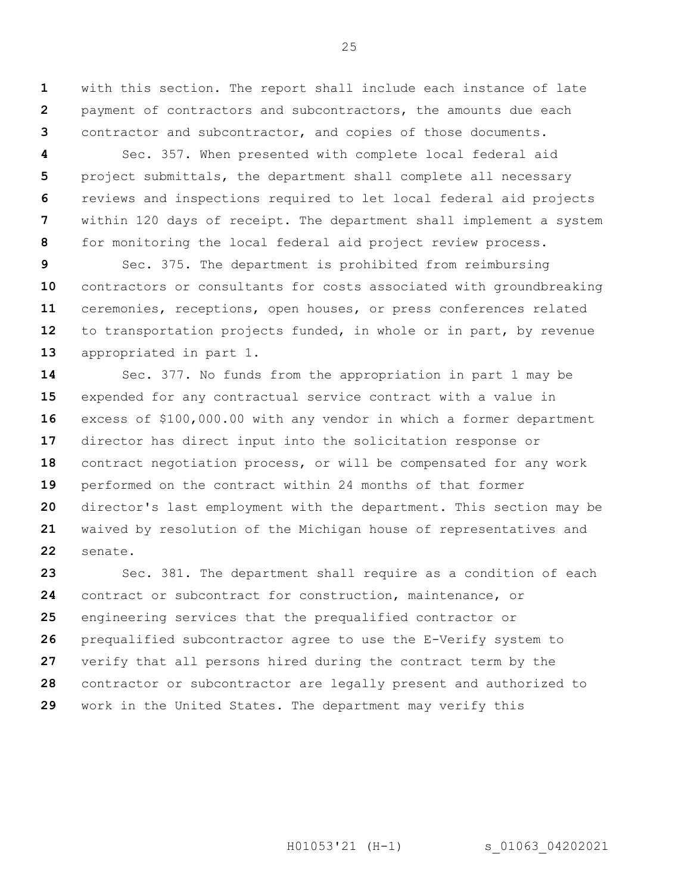**1 2 3** with this section. The report shall include each instance of late payment of contractors and subcontractors, the amounts due each contractor and subcontractor, and copies of those documents.

**4 5 6 7 8** Sec. 357. When presented with complete local federal aid project submittals, the department shall complete all necessary reviews and inspections required to let local federal aid projects within 120 days of receipt. The department shall implement a system for monitoring the local federal aid project review process.

**9 10 11 12 13** Sec. 375. The department is prohibited from reimbursing contractors or consultants for costs associated with groundbreaking ceremonies, receptions, open houses, or press conferences related to transportation projects funded, in whole or in part, by revenue appropriated in part 1.

**14 15 16 17 18 19 20 21 22** Sec. 377. No funds from the appropriation in part 1 may be expended for any contractual service contract with a value in excess of \$100,000.00 with any vendor in which a former department director has direct input into the solicitation response or contract negotiation process, or will be compensated for any work performed on the contract within 24 months of that former director's last employment with the department. This section may be waived by resolution of the Michigan house of representatives and senate.

**23 24 25 26 27 28 29** Sec. 381. The department shall require as a condition of each contract or subcontract for construction, maintenance, or engineering services that the prequalified contractor or prequalified subcontractor agree to use the E-Verify system to verify that all persons hired during the contract term by the contractor or subcontractor are legally present and authorized to work in the United States. The department may verify this

H01053'21 (H-1) s 01063 04202021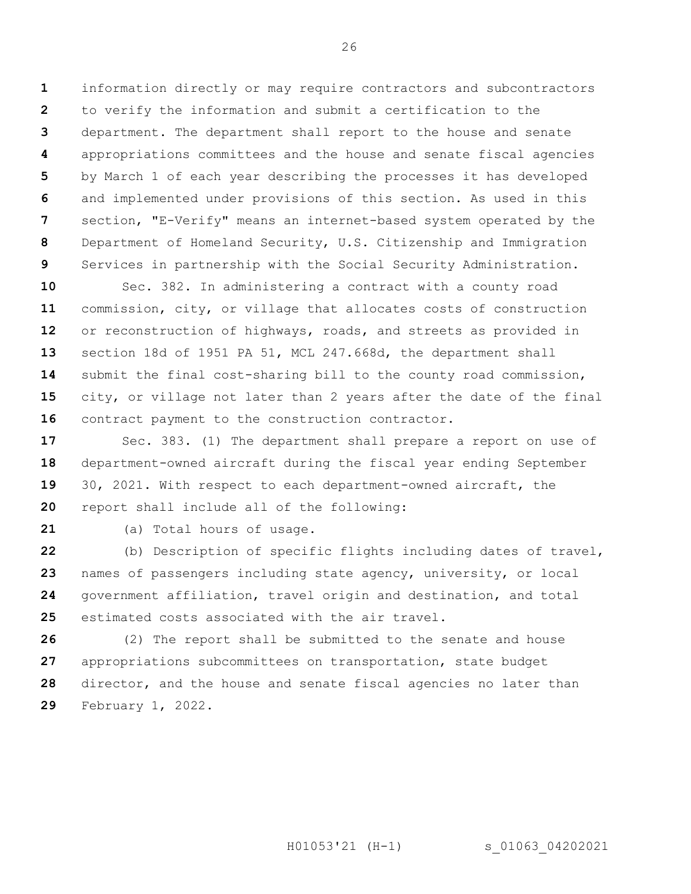**1 2 3 4 5 6 7 8 9** information directly or may require contractors and subcontractors to verify the information and submit a certification to the department. The department shall report to the house and senate appropriations committees and the house and senate fiscal agencies by March 1 of each year describing the processes it has developed and implemented under provisions of this section. As used in this section, "E-Verify" means an internet-based system operated by the Department of Homeland Security, U.S. Citizenship and Immigration Services in partnership with the Social Security Administration.

**10 11 12 13 14 15 16** Sec. 382. In administering a contract with a county road commission, city, or village that allocates costs of construction or reconstruction of highways, roads, and streets as provided in section 18d of 1951 PA 51, MCL 247.668d, the department shall submit the final cost-sharing bill to the county road commission, city, or village not later than 2 years after the date of the final contract payment to the construction contractor.

**17 18 19 20** Sec. 383. (1) The department shall prepare a report on use of department-owned aircraft during the fiscal year ending September 30, 2021. With respect to each department-owned aircraft, the report shall include all of the following:

**21**

(a) Total hours of usage.

**22 23 24 25** (b) Description of specific flights including dates of travel, names of passengers including state agency, university, or local government affiliation, travel origin and destination, and total estimated costs associated with the air travel.

**26 27 28 29** (2) The report shall be submitted to the senate and house appropriations subcommittees on transportation, state budget director, and the house and senate fiscal agencies no later than February 1, 2022.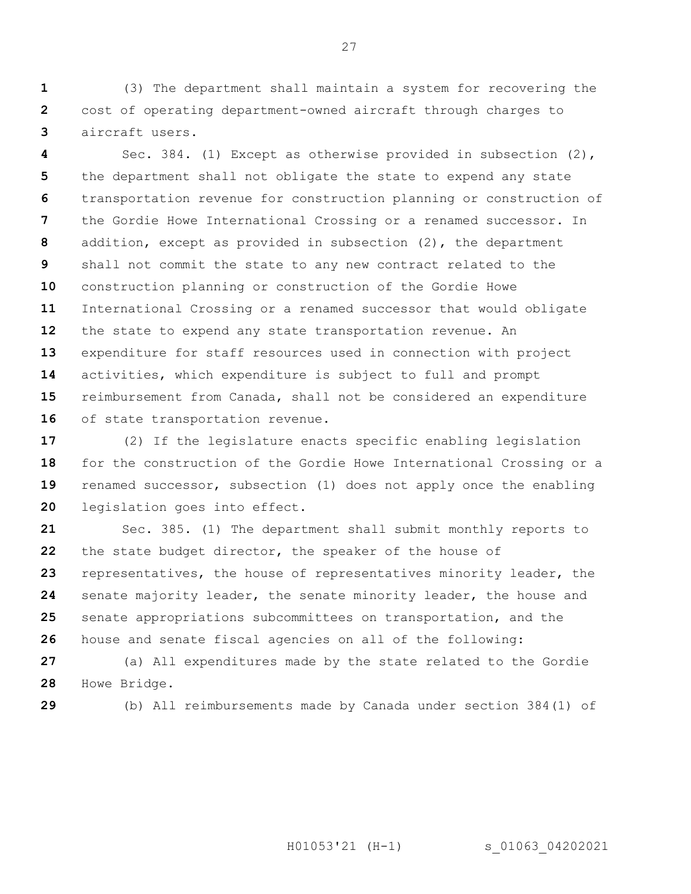**1 2 3** (3) The department shall maintain a system for recovering the cost of operating department-owned aircraft through charges to aircraft users.

**4 5 6 7 8 9 10 11 12 13 14 15 16** Sec. 384. (1) Except as otherwise provided in subsection (2), the department shall not obligate the state to expend any state transportation revenue for construction planning or construction of the Gordie Howe International Crossing or a renamed successor. In addition, except as provided in subsection (2), the department shall not commit the state to any new contract related to the construction planning or construction of the Gordie Howe International Crossing or a renamed successor that would obligate the state to expend any state transportation revenue. An expenditure for staff resources used in connection with project activities, which expenditure is subject to full and prompt reimbursement from Canada, shall not be considered an expenditure of state transportation revenue.

**17 18 19 20** (2) If the legislature enacts specific enabling legislation for the construction of the Gordie Howe International Crossing or a renamed successor, subsection (1) does not apply once the enabling legislation goes into effect.

**21 22 23 24 25 26** Sec. 385. (1) The department shall submit monthly reports to the state budget director, the speaker of the house of representatives, the house of representatives minority leader, the senate majority leader, the senate minority leader, the house and senate appropriations subcommittees on transportation, and the house and senate fiscal agencies on all of the following:

**27 28** (a) All expenditures made by the state related to the Gordie Howe Bridge.

**29**

(b) All reimbursements made by Canada under section 384(1) of

H01053'21 (H-1) s 01063 04202021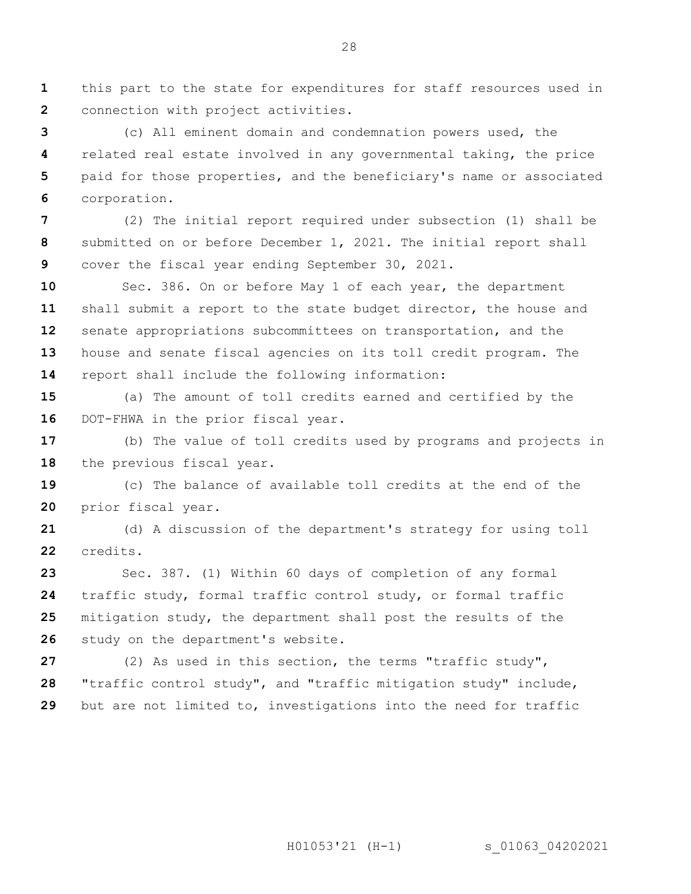**1 2** this part to the state for expenditures for staff resources used in connection with project activities.

**3 4 5 6** (c) All eminent domain and condemnation powers used, the related real estate involved in any governmental taking, the price paid for those properties, and the beneficiary's name or associated corporation.

**7 8 9** (2) The initial report required under subsection (1) shall be submitted on or before December 1, 2021. The initial report shall cover the fiscal year ending September 30, 2021.

**10 11 12 13 14** Sec. 386. On or before May 1 of each year, the department shall submit a report to the state budget director, the house and senate appropriations subcommittees on transportation, and the house and senate fiscal agencies on its toll credit program. The report shall include the following information:

**15 16** (a) The amount of toll credits earned and certified by the DOT-FHWA in the prior fiscal year.

**17 18** (b) The value of toll credits used by programs and projects in the previous fiscal year.

**19 20** (c) The balance of available toll credits at the end of the prior fiscal year.

**21 22** (d) A discussion of the department's strategy for using toll credits.

**23 24 25 26** Sec. 387. (1) Within 60 days of completion of any formal traffic study, formal traffic control study, or formal traffic mitigation study, the department shall post the results of the study on the department's website.

**27 28 29** (2) As used in this section, the terms "traffic study", "traffic control study", and "traffic mitigation study" include, but are not limited to, investigations into the need for traffic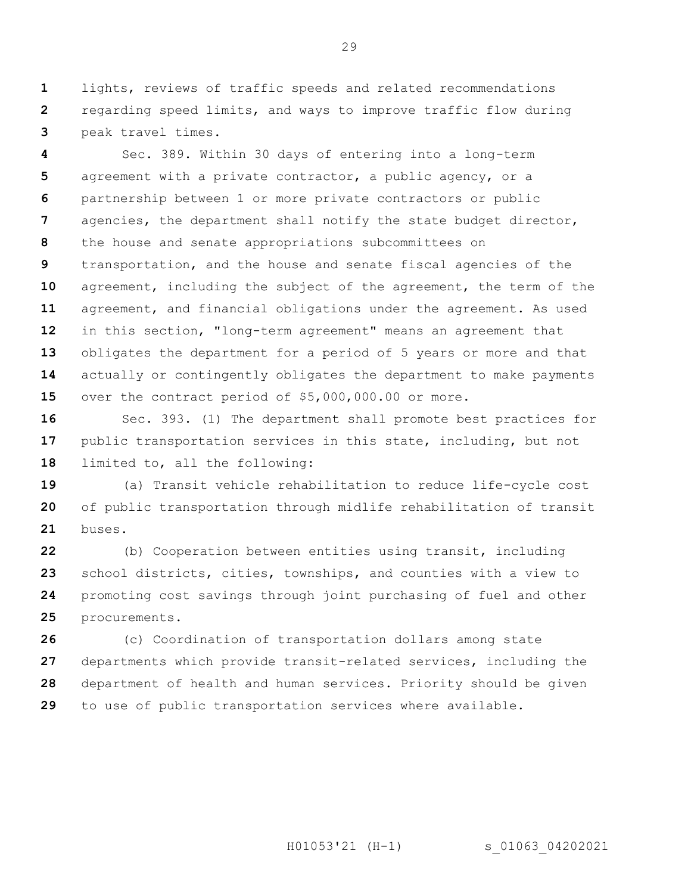**1 2 3** lights, reviews of traffic speeds and related recommendations regarding speed limits, and ways to improve traffic flow during peak travel times.

**4 5 6 7 8 9 10 11 12 13 14 15** Sec. 389. Within 30 days of entering into a long-term agreement with a private contractor, a public agency, or a partnership between 1 or more private contractors or public agencies, the department shall notify the state budget director, the house and senate appropriations subcommittees on transportation, and the house and senate fiscal agencies of the agreement, including the subject of the agreement, the term of the agreement, and financial obligations under the agreement. As used in this section, "long-term agreement" means an agreement that obligates the department for a period of 5 years or more and that actually or contingently obligates the department to make payments over the contract period of \$5,000,000.00 or more.

**16 17 18** Sec. 393. (1) The department shall promote best practices for public transportation services in this state, including, but not limited to, all the following:

**19 20 21** (a) Transit vehicle rehabilitation to reduce life-cycle cost of public transportation through midlife rehabilitation of transit buses.

**22 23 24 25** (b) Cooperation between entities using transit, including school districts, cities, townships, and counties with a view to promoting cost savings through joint purchasing of fuel and other procurements.

**26 27 28 29** (c) Coordination of transportation dollars among state departments which provide transit-related services, including the department of health and human services. Priority should be given to use of public transportation services where available.

H01053'21 (H-1) s 01063 04202021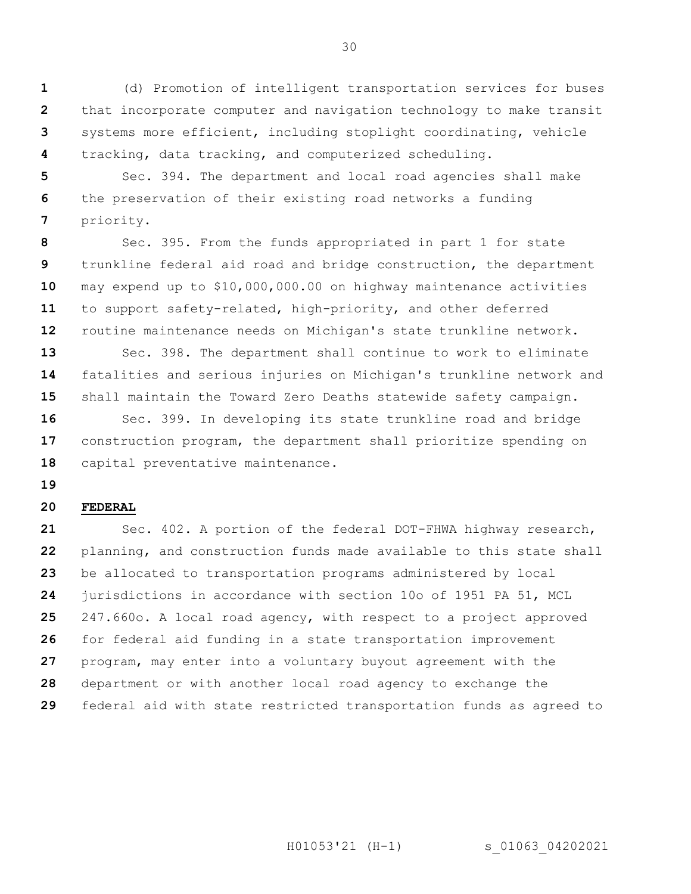**1 2 3 4** (d) Promotion of intelligent transportation services for buses that incorporate computer and navigation technology to make transit systems more efficient, including stoplight coordinating, vehicle tracking, data tracking, and computerized scheduling.

**5 6 7** Sec. 394. The department and local road agencies shall make the preservation of their existing road networks a funding priority.

**8 9 10 11 12** Sec. 395. From the funds appropriated in part 1 for state trunkline federal aid road and bridge construction, the department may expend up to \$10,000,000.00 on highway maintenance activities to support safety-related, high-priority, and other deferred routine maintenance needs on Michigan's state trunkline network.

**13 14 15** Sec. 398. The department shall continue to work to eliminate fatalities and serious injuries on Michigan's trunkline network and shall maintain the Toward Zero Deaths statewide safety campaign.

**16 17 18** Sec. 399. In developing its state trunkline road and bridge construction program, the department shall prioritize spending on capital preventative maintenance.

**19**

#### **20 FEDERAL**

**21 22 23 24 25 26 27 28 29** Sec. 402. A portion of the federal DOT-FHWA highway research, planning, and construction funds made available to this state shall be allocated to transportation programs administered by local jurisdictions in accordance with section 10o of 1951 PA 51, MCL 247.660o. A local road agency, with respect to a project approved for federal aid funding in a state transportation improvement program, may enter into a voluntary buyout agreement with the department or with another local road agency to exchange the federal aid with state restricted transportation funds as agreed to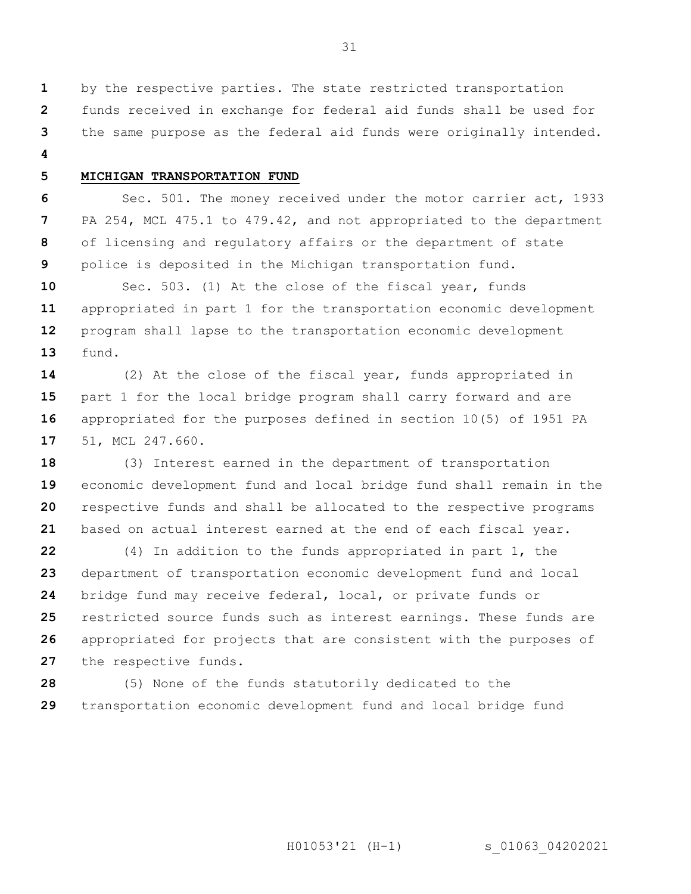by the respective parties. The state restricted transportation funds received in exchange for federal aid funds shall be used for

**3** the same purpose as the federal aid funds were originally intended.

**4**

**5**

**1 2**

### **MICHIGAN TRANSPORTATION FUND**

**6 7 8 9** Sec. 501. The money received under the motor carrier act, 1933 PA 254, MCL 475.1 to 479.42, and not appropriated to the department of licensing and regulatory affairs or the department of state police is deposited in the Michigan transportation fund.

**10 11 12 13** Sec. 503. (1) At the close of the fiscal year, funds appropriated in part 1 for the transportation economic development program shall lapse to the transportation economic development fund.

**14 15 16 17** (2) At the close of the fiscal year, funds appropriated in part 1 for the local bridge program shall carry forward and are appropriated for the purposes defined in section 10(5) of 1951 PA 51, MCL 247.660.

**18 19 20 21** (3) Interest earned in the department of transportation economic development fund and local bridge fund shall remain in the respective funds and shall be allocated to the respective programs based on actual interest earned at the end of each fiscal year.

**22 23 24 25 26 27** (4) In addition to the funds appropriated in part 1, the department of transportation economic development fund and local bridge fund may receive federal, local, or private funds or restricted source funds such as interest earnings. These funds are appropriated for projects that are consistent with the purposes of the respective funds.

**28 29** (5) None of the funds statutorily dedicated to the transportation economic development fund and local bridge fund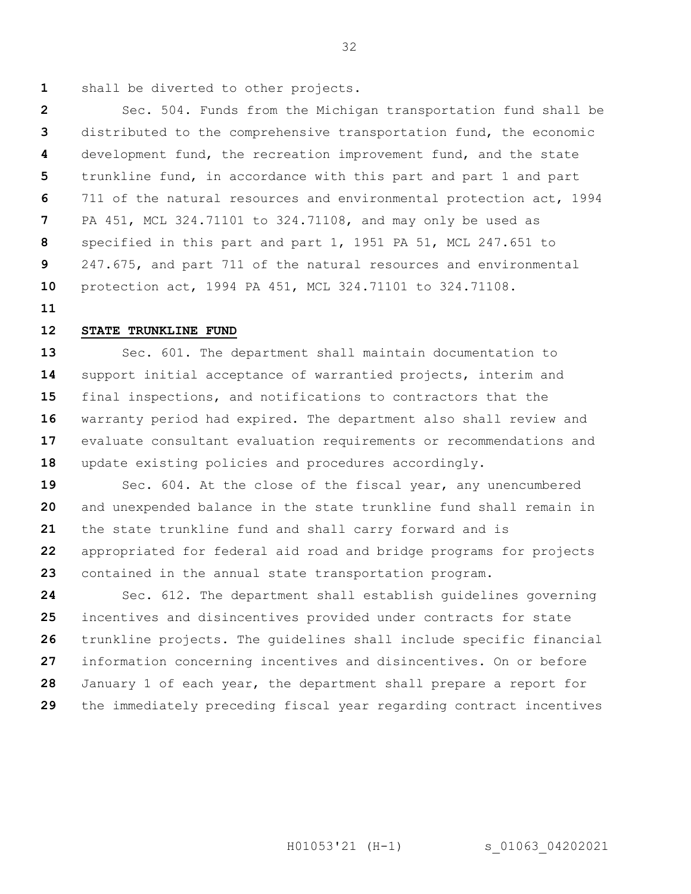**1**

shall be diverted to other projects.

**2 3 4 5 6 7 8 9 10** Sec. 504. Funds from the Michigan transportation fund shall be distributed to the comprehensive transportation fund, the economic development fund, the recreation improvement fund, and the state trunkline fund, in accordance with this part and part 1 and part 711 of the natural resources and environmental protection act, 1994 PA 451, MCL 324.71101 to 324.71108, and may only be used as specified in this part and part 1, 1951 PA 51, MCL 247.651 to 247.675, and part 711 of the natural resources and environmental protection act, 1994 PA 451, MCL 324.71101 to 324.71108.

**11**

#### **12 STATE TRUNKLINE FUND**

**13 14 15 16 17 18** Sec. 601. The department shall maintain documentation to support initial acceptance of warrantied projects, interim and final inspections, and notifications to contractors that the warranty period had expired. The department also shall review and evaluate consultant evaluation requirements or recommendations and update existing policies and procedures accordingly.

**19 20 21 22 23** Sec. 604. At the close of the fiscal year, any unencumbered and unexpended balance in the state trunkline fund shall remain in the state trunkline fund and shall carry forward and is appropriated for federal aid road and bridge programs for projects contained in the annual state transportation program.

**24 25 26 27 28 29** Sec. 612. The department shall establish guidelines governing incentives and disincentives provided under contracts for state trunkline projects. The guidelines shall include specific financial information concerning incentives and disincentives. On or before January 1 of each year, the department shall prepare a report for the immediately preceding fiscal year regarding contract incentives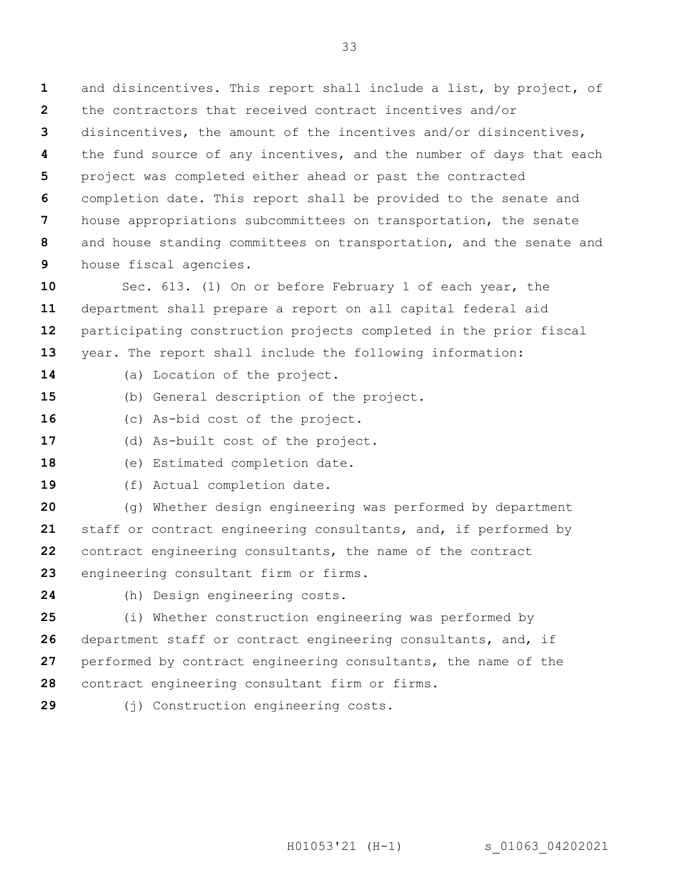**1 2 3 4 5 6 7 8 9** and disincentives. This report shall include a list, by project, of the contractors that received contract incentives and/or disincentives, the amount of the incentives and/or disincentives, the fund source of any incentives, and the number of days that each project was completed either ahead or past the contracted completion date. This report shall be provided to the senate and house appropriations subcommittees on transportation, the senate and house standing committees on transportation, and the senate and house fiscal agencies.

**10 11 12 13** Sec. 613. (1) On or before February 1 of each year, the department shall prepare a report on all capital federal aid participating construction projects completed in the prior fiscal year. The report shall include the following information:

- **14** (a) Location of the project.
- **15** (b) General description of the project.
- **16** (c) As-bid cost of the project.
- **17** (d) As-built cost of the project.
- **18** (e) Estimated completion date.
- **19** (f) Actual completion date.

**20 21 22 23** (g) Whether design engineering was performed by department staff or contract engineering consultants, and, if performed by contract engineering consultants, the name of the contract engineering consultant firm or firms.

- **24**
- (h) Design engineering costs.

**25 26 27 28** (i) Whether construction engineering was performed by department staff or contract engineering consultants, and, if performed by contract engineering consultants, the name of the contract engineering consultant firm or firms.

**29**

(j) Construction engineering costs.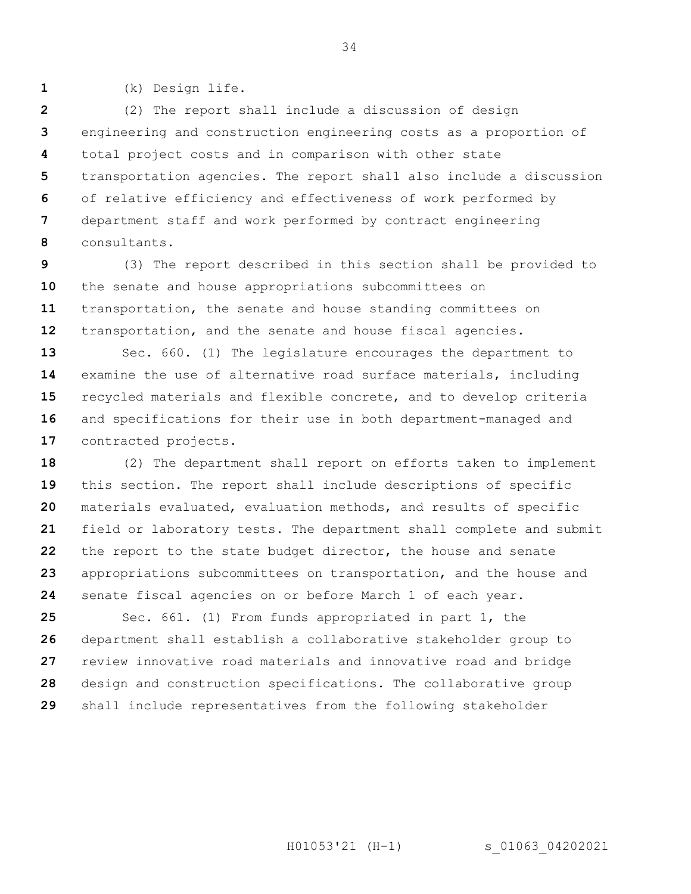(k) Design life.

**1**

**2 3 4 5 6 7 8** (2) The report shall include a discussion of design engineering and construction engineering costs as a proportion of total project costs and in comparison with other state transportation agencies. The report shall also include a discussion of relative efficiency and effectiveness of work performed by department staff and work performed by contract engineering consultants.

**9 10 11 12** (3) The report described in this section shall be provided to the senate and house appropriations subcommittees on transportation, the senate and house standing committees on transportation, and the senate and house fiscal agencies.

**13 14 15 16 17** Sec. 660. (1) The legislature encourages the department to examine the use of alternative road surface materials, including recycled materials and flexible concrete, and to develop criteria and specifications for their use in both department-managed and contracted projects.

**18 19 20 21 22 23 24** (2) The department shall report on efforts taken to implement this section. The report shall include descriptions of specific materials evaluated, evaluation methods, and results of specific field or laboratory tests. The department shall complete and submit the report to the state budget director, the house and senate appropriations subcommittees on transportation, and the house and senate fiscal agencies on or before March 1 of each year.

**25 26 27 28 29** Sec. 661. (1) From funds appropriated in part 1, the department shall establish a collaborative stakeholder group to review innovative road materials and innovative road and bridge design and construction specifications. The collaborative group shall include representatives from the following stakeholder

H01053'21 (H-1) s 01063 04202021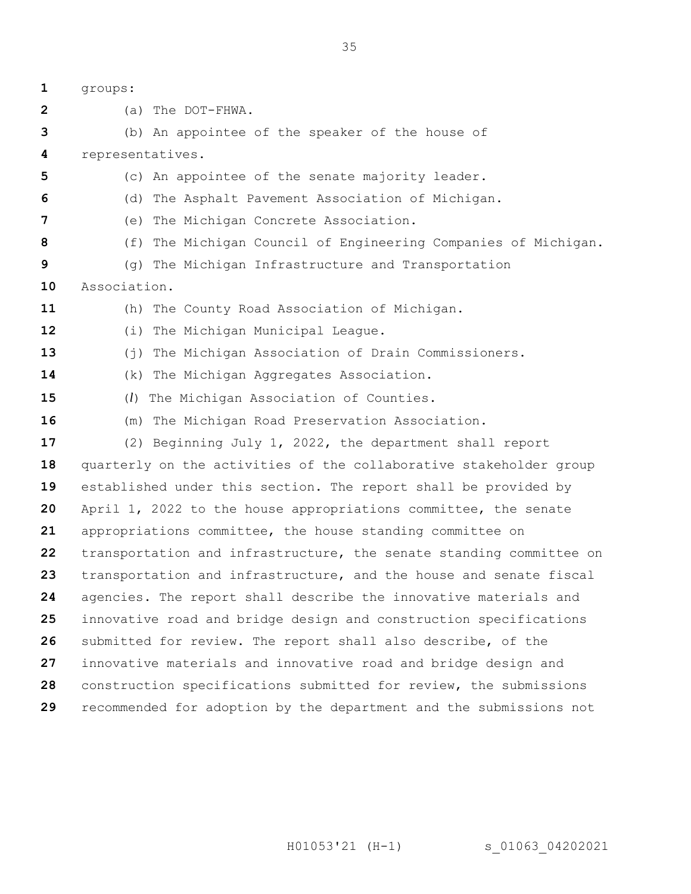**1 2 3 4 5 6 7 8 9 10 11 12 13 14 15 16 17 18 19 20 21 22 23 24 25 26 27 28 29** groups: (a) The DOT-FHWA. (b) An appointee of the speaker of the house of representatives. (c) An appointee of the senate majority leader. (d) The Asphalt Pavement Association of Michigan. (e) The Michigan Concrete Association. (f) The Michigan Council of Engineering Companies of Michigan. (g) The Michigan Infrastructure and Transportation Association. (h) The County Road Association of Michigan. (i) The Michigan Municipal League. (j) The Michigan Association of Drain Commissioners. (k) The Michigan Aggregates Association. (*l*) The Michigan Association of Counties. (m) The Michigan Road Preservation Association. (2) Beginning July 1, 2022, the department shall report quarterly on the activities of the collaborative stakeholder group established under this section. The report shall be provided by April 1, 2022 to the house appropriations committee, the senate appropriations committee, the house standing committee on transportation and infrastructure, the senate standing committee on transportation and infrastructure, and the house and senate fiscal agencies. The report shall describe the innovative materials and innovative road and bridge design and construction specifications submitted for review. The report shall also describe, of the innovative materials and innovative road and bridge design and construction specifications submitted for review, the submissions recommended for adoption by the department and the submissions not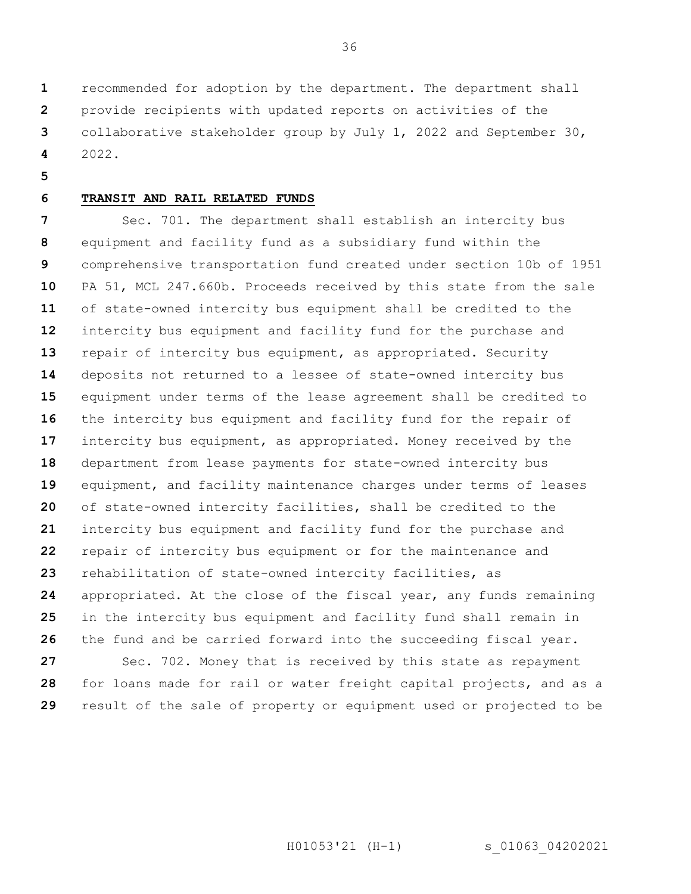**1 2 3 4** recommended for adoption by the department. The department shall provide recipients with updated reports on activities of the collaborative stakeholder group by July 1, 2022 and September 30, 2022.

**5**

**29**

#### **6 TRANSIT AND RAIL RELATED FUNDS**

**7 8 9 10 11 12 13 14 15 16 17 18 19 20 21 22 23 24 25 26 27 28** Sec. 701. The department shall establish an intercity bus equipment and facility fund as a subsidiary fund within the comprehensive transportation fund created under section 10b of 1951 PA 51, MCL 247.660b. Proceeds received by this state from the sale of state-owned intercity bus equipment shall be credited to the intercity bus equipment and facility fund for the purchase and repair of intercity bus equipment, as appropriated. Security deposits not returned to a lessee of state-owned intercity bus equipment under terms of the lease agreement shall be credited to the intercity bus equipment and facility fund for the repair of intercity bus equipment, as appropriated. Money received by the department from lease payments for state-owned intercity bus equipment, and facility maintenance charges under terms of leases of state-owned intercity facilities, shall be credited to the intercity bus equipment and facility fund for the purchase and repair of intercity bus equipment or for the maintenance and rehabilitation of state-owned intercity facilities, as appropriated. At the close of the fiscal year, any funds remaining in the intercity bus equipment and facility fund shall remain in the fund and be carried forward into the succeeding fiscal year. Sec. 702. Money that is received by this state as repayment for loans made for rail or water freight capital projects, and as a

result of the sale of property or equipment used or projected to be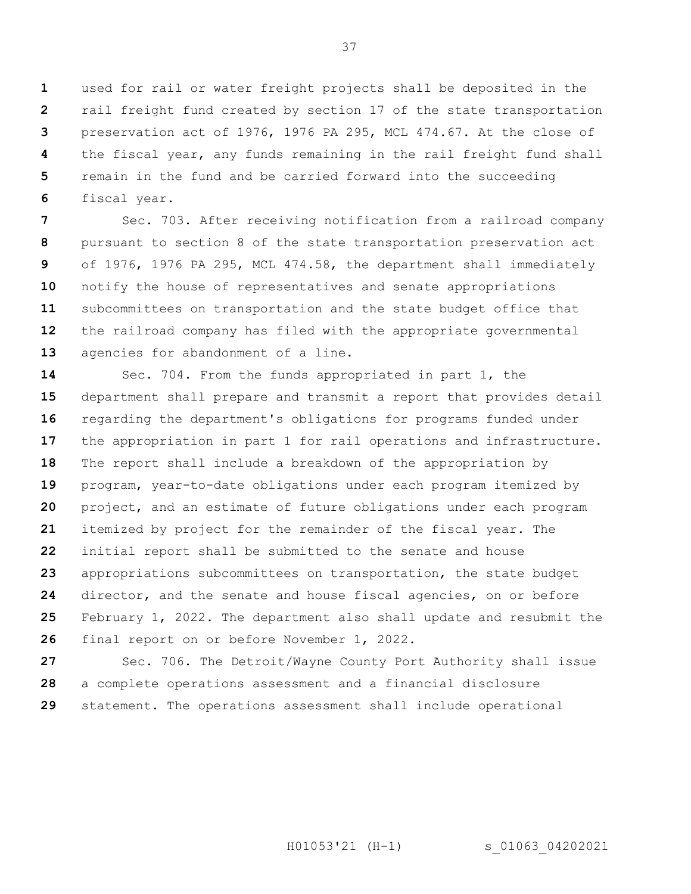**1 2 3 4 5 6** used for rail or water freight projects shall be deposited in the rail freight fund created by section 17 of the state transportation preservation act of 1976, 1976 PA 295, MCL 474.67. At the close of the fiscal year, any funds remaining in the rail freight fund shall remain in the fund and be carried forward into the succeeding fiscal year.

**7 8 9 10 11 12 13** Sec. 703. After receiving notification from a railroad company pursuant to section 8 of the state transportation preservation act of 1976, 1976 PA 295, MCL 474.58, the department shall immediately notify the house of representatives and senate appropriations subcommittees on transportation and the state budget office that the railroad company has filed with the appropriate governmental agencies for abandonment of a line.

**14 15 16 17 18 19 20 21 22 23 24 25 26** Sec. 704. From the funds appropriated in part 1, the department shall prepare and transmit a report that provides detail regarding the department's obligations for programs funded under the appropriation in part 1 for rail operations and infrastructure. The report shall include a breakdown of the appropriation by program, year-to-date obligations under each program itemized by project, and an estimate of future obligations under each program itemized by project for the remainder of the fiscal year. The initial report shall be submitted to the senate and house appropriations subcommittees on transportation, the state budget director, and the senate and house fiscal agencies, on or before February 1, 2022. The department also shall update and resubmit the final report on or before November 1, 2022.

**27 28 29** Sec. 706. The Detroit/Wayne County Port Authority shall issue a complete operations assessment and a financial disclosure statement. The operations assessment shall include operational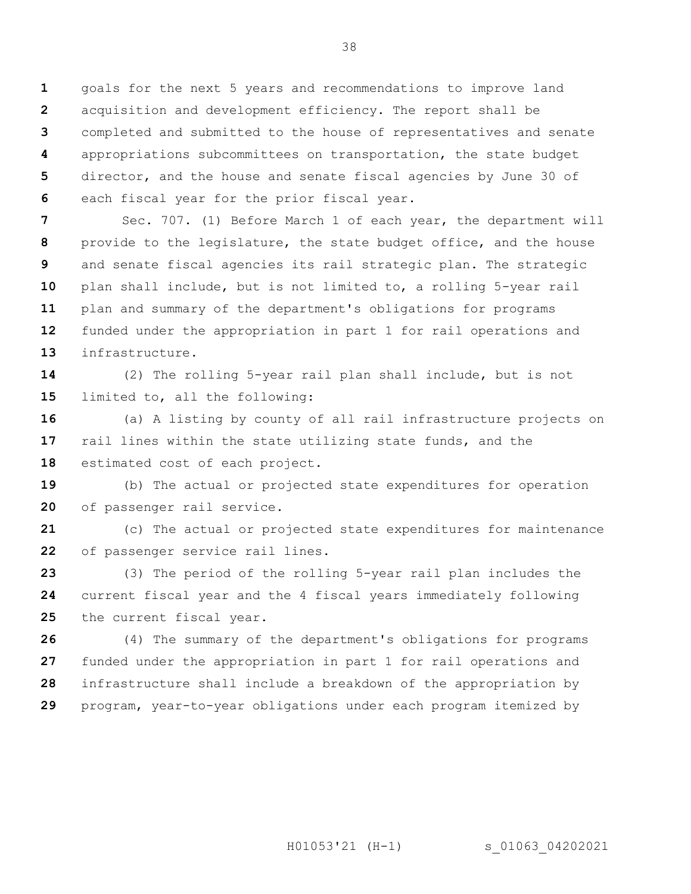**1 2 3 4 5 6** goals for the next 5 years and recommendations to improve land acquisition and development efficiency. The report shall be completed and submitted to the house of representatives and senate appropriations subcommittees on transportation, the state budget director, and the house and senate fiscal agencies by June 30 of each fiscal year for the prior fiscal year.

**7 8 9 10 11 12 13** Sec. 707. (1) Before March 1 of each year, the department will provide to the legislature, the state budget office, and the house and senate fiscal agencies its rail strategic plan. The strategic plan shall include, but is not limited to, a rolling 5-year rail plan and summary of the department's obligations for programs funded under the appropriation in part 1 for rail operations and infrastructure.

**14 15** (2) The rolling 5-year rail plan shall include, but is not limited to, all the following:

**16 17 18** (a) A listing by county of all rail infrastructure projects on rail lines within the state utilizing state funds, and the estimated cost of each project.

**19 20** (b) The actual or projected state expenditures for operation of passenger rail service.

**21 22** (c) The actual or projected state expenditures for maintenance of passenger service rail lines.

**23 24 25** (3) The period of the rolling 5-year rail plan includes the current fiscal year and the 4 fiscal years immediately following the current fiscal year.

**26 27 28 29** (4) The summary of the department's obligations for programs funded under the appropriation in part 1 for rail operations and infrastructure shall include a breakdown of the appropriation by program, year-to-year obligations under each program itemized by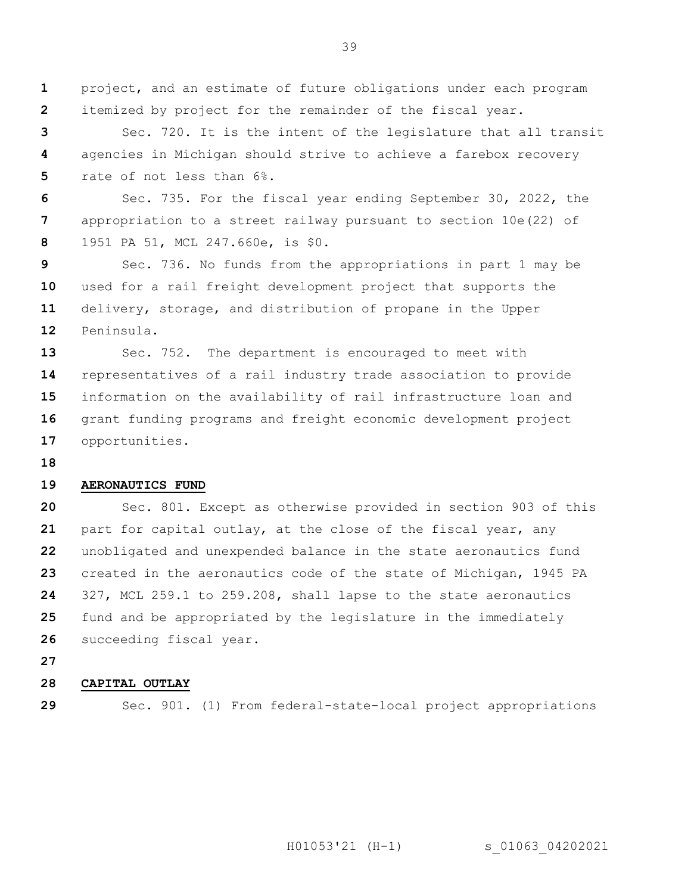**1 2** project, and an estimate of future obligations under each program itemized by project for the remainder of the fiscal year.

**3 4 5** Sec. 720. It is the intent of the legislature that all transit agencies in Michigan should strive to achieve a farebox recovery rate of not less than 6%.

**6 7 8** Sec. 735. For the fiscal year ending September 30, 2022, the appropriation to a street railway pursuant to section 10e(22) of 1951 PA 51, MCL 247.660e, is \$0.

**9 10 11 12** Sec. 736. No funds from the appropriations in part 1 may be used for a rail freight development project that supports the delivery, storage, and distribution of propane in the Upper Peninsula.

**13 14 15 16 17** Sec. 752. The department is encouraged to meet with representatives of a rail industry trade association to provide information on the availability of rail infrastructure loan and grant funding programs and freight economic development project opportunities.

**18**

#### **19 AERONAUTICS FUND**

**20 21 22 23 24 25 26** Sec. 801. Except as otherwise provided in section 903 of this part for capital outlay, at the close of the fiscal year, any unobligated and unexpended balance in the state aeronautics fund created in the aeronautics code of the state of Michigan, 1945 PA 327, MCL 259.1 to 259.208, shall lapse to the state aeronautics fund and be appropriated by the legislature in the immediately succeeding fiscal year.

**27**

#### **28 CAPITAL OUTLAY**

**29**

Sec. 901. (1) From federal-state-local project appropriations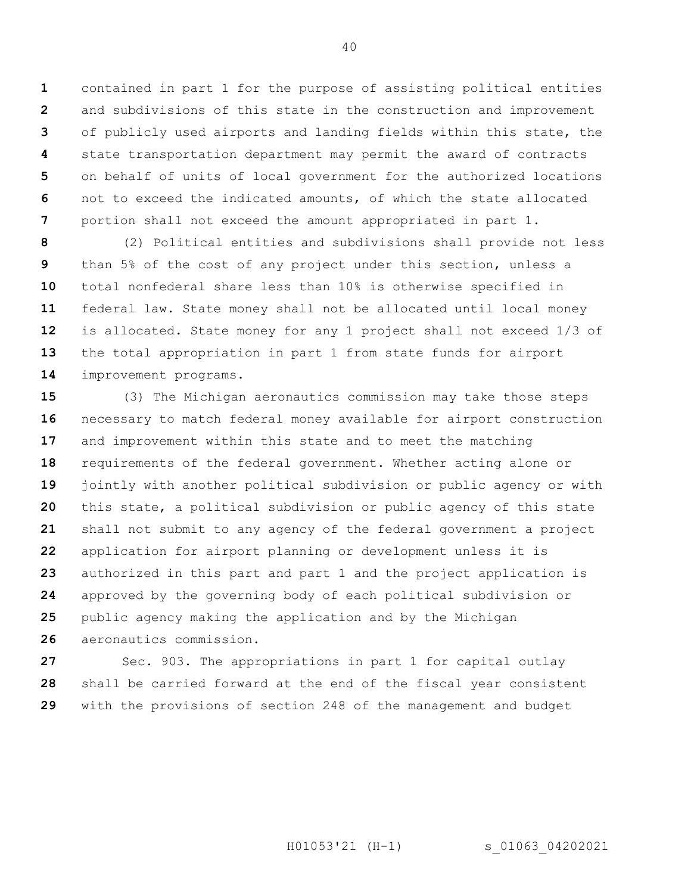**1 2 3 4 5 6 7** contained in part 1 for the purpose of assisting political entities and subdivisions of this state in the construction and improvement of publicly used airports and landing fields within this state, the state transportation department may permit the award of contracts on behalf of units of local government for the authorized locations not to exceed the indicated amounts, of which the state allocated portion shall not exceed the amount appropriated in part 1.

**8 9 10 11 12 13 14** (2) Political entities and subdivisions shall provide not less than 5% of the cost of any project under this section, unless a total nonfederal share less than 10% is otherwise specified in federal law. State money shall not be allocated until local money is allocated. State money for any 1 project shall not exceed 1/3 of the total appropriation in part 1 from state funds for airport improvement programs.

**15 16 17 18 19 20 21 22 23 24 25 26** (3) The Michigan aeronautics commission may take those steps necessary to match federal money available for airport construction and improvement within this state and to meet the matching requirements of the federal government. Whether acting alone or jointly with another political subdivision or public agency or with this state, a political subdivision or public agency of this state shall not submit to any agency of the federal government a project application for airport planning or development unless it is authorized in this part and part 1 and the project application is approved by the governing body of each political subdivision or public agency making the application and by the Michigan aeronautics commission.

**27 28 29** Sec. 903. The appropriations in part 1 for capital outlay shall be carried forward at the end of the fiscal year consistent with the provisions of section 248 of the management and budget